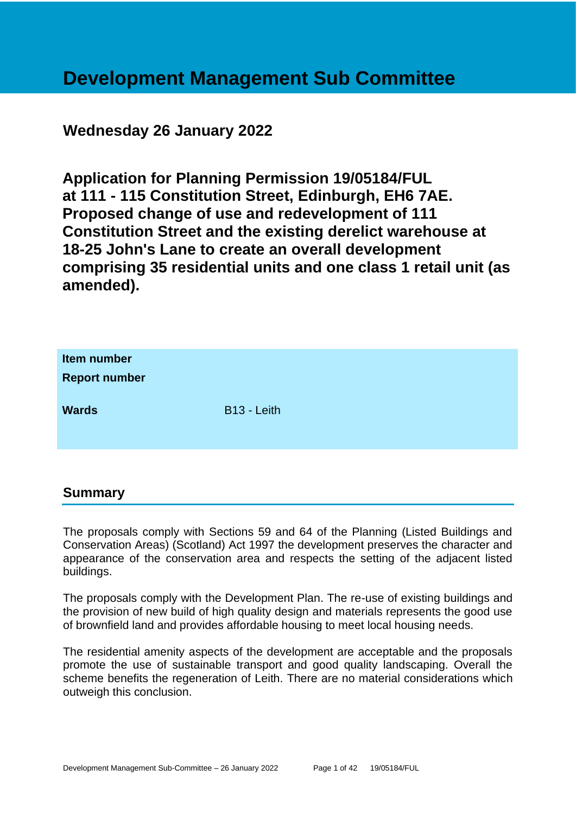# **Development Management Sub Committee**

# **Wednesday 26 January 2022**

**Application for Planning Permission 19/05184/FUL at 111 - 115 Constitution Street, Edinburgh, EH6 7AE. Proposed change of use and redevelopment of 111 Constitution Street and the existing derelict warehouse at 18-25 John's Lane to create an overall development comprising 35 residential units and one class 1 retail unit (as amended).**

| Item number<br><b>Report number</b> |                         |
|-------------------------------------|-------------------------|
| <b>Wards</b>                        | B <sub>13</sub> - Leith |

# **Summary**

The proposals comply with Sections 59 and 64 of the Planning (Listed Buildings and Conservation Areas) (Scotland) Act 1997 the development preserves the character and appearance of the conservation area and respects the setting of the adjacent listed buildings.

The proposals comply with the Development Plan. The re-use of existing buildings and the provision of new build of high quality design and materials represents the good use of brownfield land and provides affordable housing to meet local housing needs.

The residential amenity aspects of the development are acceptable and the proposals promote the use of sustainable transport and good quality landscaping. Overall the scheme benefits the regeneration of Leith. There are no material considerations which outweigh this conclusion.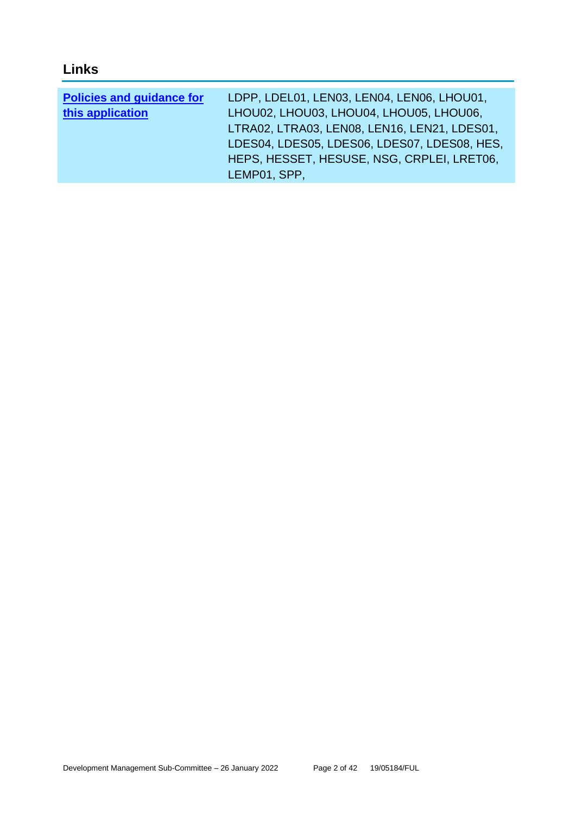# **Links**

| <b>Policies and guidance for</b> | LDPP, LDEL01, LEN03, LEN04, LEN06, LHOU01,   |
|----------------------------------|----------------------------------------------|
| this application                 | LHOU02, LHOU03, LHOU04, LHOU05, LHOU06,      |
|                                  | LTRA02, LTRA03, LEN08, LEN16, LEN21, LDES01, |
|                                  | LDES04, LDES05, LDES06, LDES07, LDES08, HES, |
|                                  | HEPS, HESSET, HESUSE, NSG, CRPLEI, LRET06,   |
|                                  | LEMP01, SPP,                                 |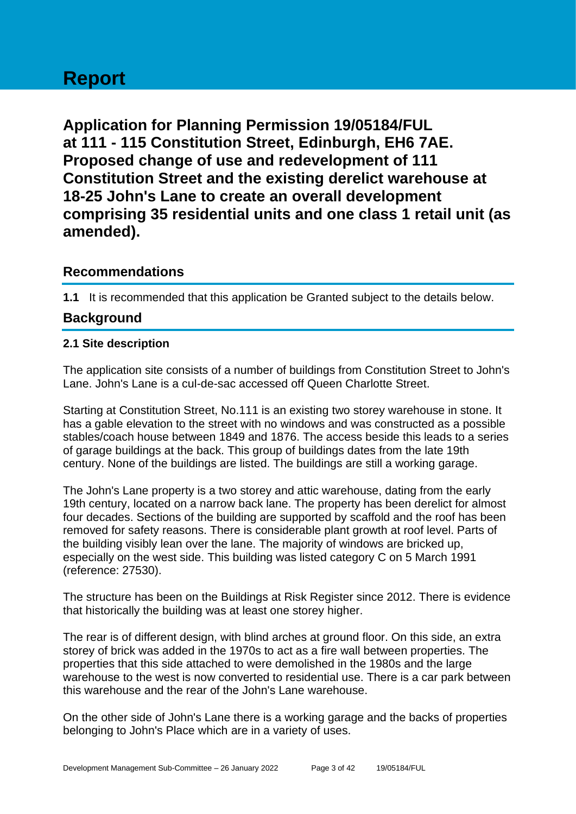# **Report**

**Application for Planning Permission 19/05184/FUL at 111 - 115 Constitution Street, Edinburgh, EH6 7AE. Proposed change of use and redevelopment of 111 Constitution Street and the existing derelict warehouse at 18-25 John's Lane to create an overall development comprising 35 residential units and one class 1 retail unit (as amended).**

# **Recommendations**

**1.1** It is recommended that this application be Granted subject to the details below.

# **Background**

#### **2.1 Site description**

The application site consists of a number of buildings from Constitution Street to John's Lane. John's Lane is a cul-de-sac accessed off Queen Charlotte Street.

Starting at Constitution Street, No.111 is an existing two storey warehouse in stone. It has a gable elevation to the street with no windows and was constructed as a possible stables/coach house between 1849 and 1876. The access beside this leads to a series of garage buildings at the back. This group of buildings dates from the late 19th century. None of the buildings are listed. The buildings are still a working garage.

The John's Lane property is a two storey and attic warehouse, dating from the early 19th century, located on a narrow back lane. The property has been derelict for almost four decades. Sections of the building are supported by scaffold and the roof has been removed for safety reasons. There is considerable plant growth at roof level. Parts of the building visibly lean over the lane. The majority of windows are bricked up, especially on the west side. This building was listed category C on 5 March 1991 (reference: 27530).

The structure has been on the Buildings at Risk Register since 2012. There is evidence that historically the building was at least one storey higher.

The rear is of different design, with blind arches at ground floor. On this side, an extra storey of brick was added in the 1970s to act as a fire wall between properties. The properties that this side attached to were demolished in the 1980s and the large warehouse to the west is now converted to residential use. There is a car park between this warehouse and the rear of the John's Lane warehouse.

On the other side of John's Lane there is a working garage and the backs of properties belonging to John's Place which are in a variety of uses.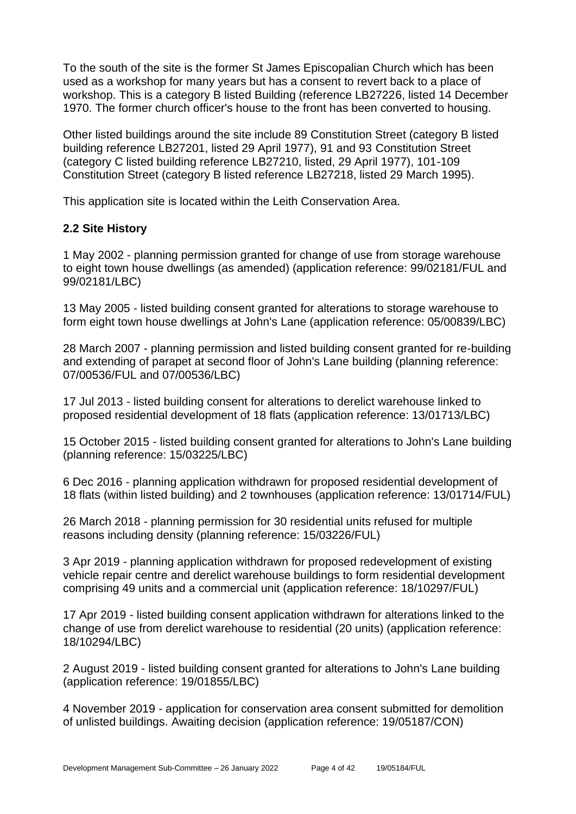To the south of the site is the former St James Episcopalian Church which has been used as a workshop for many years but has a consent to revert back to a place of workshop. This is a category B listed Building (reference LB27226, listed 14 December 1970. The former church officer's house to the front has been converted to housing.

Other listed buildings around the site include 89 Constitution Street (category B listed building reference LB27201, listed 29 April 1977), 91 and 93 Constitution Street (category C listed building reference LB27210, listed, 29 April 1977), 101-109 Constitution Street (category B listed reference LB27218, listed 29 March 1995).

This application site is located within the Leith Conservation Area.

# **2.2 Site History**

1 May 2002 - planning permission granted for change of use from storage warehouse to eight town house dwellings (as amended) (application reference: 99/02181/FUL and 99/02181/LBC)

13 May 2005 - listed building consent granted for alterations to storage warehouse to form eight town house dwellings at John's Lane (application reference: 05/00839/LBC)

28 March 2007 - planning permission and listed building consent granted for re-building and extending of parapet at second floor of John's Lane building (planning reference: 07/00536/FUL and 07/00536/LBC)

17 Jul 2013 - listed building consent for alterations to derelict warehouse linked to proposed residential development of 18 flats (application reference: 13/01713/LBC)

15 October 2015 - listed building consent granted for alterations to John's Lane building (planning reference: 15/03225/LBC)

6 Dec 2016 - planning application withdrawn for proposed residential development of 18 flats (within listed building) and 2 townhouses (application reference: 13/01714/FUL)

26 March 2018 - planning permission for 30 residential units refused for multiple reasons including density (planning reference: 15/03226/FUL)

3 Apr 2019 - planning application withdrawn for proposed redevelopment of existing vehicle repair centre and derelict warehouse buildings to form residential development comprising 49 units and a commercial unit (application reference: 18/10297/FUL)

17 Apr 2019 - listed building consent application withdrawn for alterations linked to the change of use from derelict warehouse to residential (20 units) (application reference: 18/10294/LBC)

2 August 2019 - listed building consent granted for alterations to John's Lane building (application reference: 19/01855/LBC)

4 November 2019 - application for conservation area consent submitted for demolition of unlisted buildings. Awaiting decision (application reference: 19/05187/CON)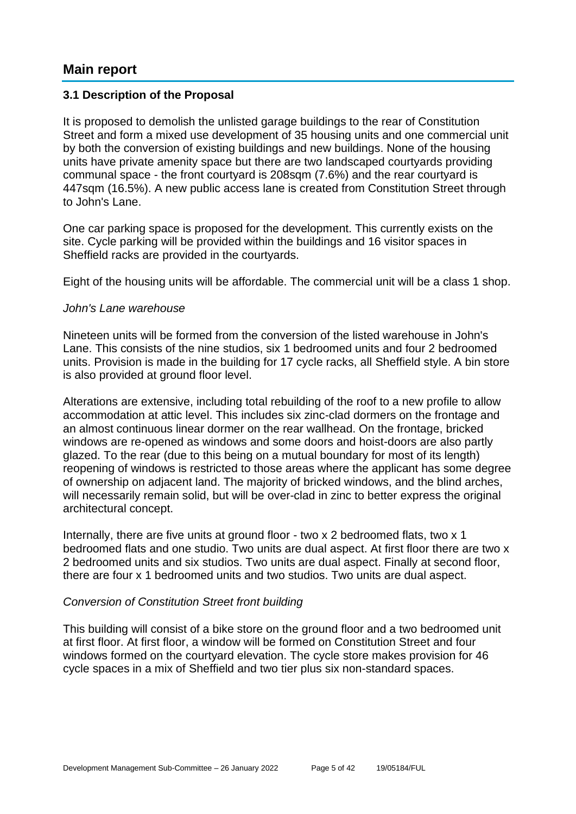# **Main report**

#### **3.1 Description of the Proposal**

It is proposed to demolish the unlisted garage buildings to the rear of Constitution Street and form a mixed use development of 35 housing units and one commercial unit by both the conversion of existing buildings and new buildings. None of the housing units have private amenity space but there are two landscaped courtyards providing communal space - the front courtyard is 208sqm (7.6%) and the rear courtyard is 447sqm (16.5%). A new public access lane is created from Constitution Street through to John's Lane.

One car parking space is proposed for the development. This currently exists on the site. Cycle parking will be provided within the buildings and 16 visitor spaces in Sheffield racks are provided in the courtyards.

Eight of the housing units will be affordable. The commercial unit will be a class 1 shop.

#### *John's Lane warehouse*

Nineteen units will be formed from the conversion of the listed warehouse in John's Lane. This consists of the nine studios, six 1 bedroomed units and four 2 bedroomed units. Provision is made in the building for 17 cycle racks, all Sheffield style. A bin store is also provided at ground floor level.

Alterations are extensive, including total rebuilding of the roof to a new profile to allow accommodation at attic level. This includes six zinc-clad dormers on the frontage and an almost continuous linear dormer on the rear wallhead. On the frontage, bricked windows are re-opened as windows and some doors and hoist-doors are also partly glazed. To the rear (due to this being on a mutual boundary for most of its length) reopening of windows is restricted to those areas where the applicant has some degree of ownership on adjacent land. The majority of bricked windows, and the blind arches, will necessarily remain solid, but will be over-clad in zinc to better express the original architectural concept.

Internally, there are five units at ground floor - two x 2 bedroomed flats, two x 1 bedroomed flats and one studio. Two units are dual aspect. At first floor there are two x 2 bedroomed units and six studios. Two units are dual aspect. Finally at second floor, there are four x 1 bedroomed units and two studios. Two units are dual aspect.

#### *Conversion of Constitution Street front building*

This building will consist of a bike store on the ground floor and a two bedroomed unit at first floor. At first floor, a window will be formed on Constitution Street and four windows formed on the courtyard elevation. The cycle store makes provision for 46 cycle spaces in a mix of Sheffield and two tier plus six non-standard spaces.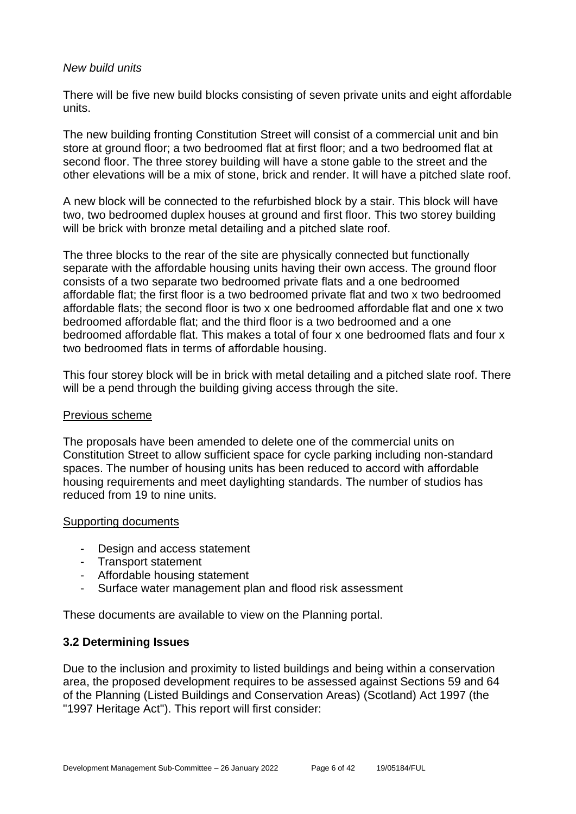#### *New build units*

There will be five new build blocks consisting of seven private units and eight affordable units.

The new building fronting Constitution Street will consist of a commercial unit and bin store at ground floor; a two bedroomed flat at first floor; and a two bedroomed flat at second floor. The three storey building will have a stone gable to the street and the other elevations will be a mix of stone, brick and render. It will have a pitched slate roof.

A new block will be connected to the refurbished block by a stair. This block will have two, two bedroomed duplex houses at ground and first floor. This two storey building will be brick with bronze metal detailing and a pitched slate roof.

The three blocks to the rear of the site are physically connected but functionally separate with the affordable housing units having their own access. The ground floor consists of a two separate two bedroomed private flats and a one bedroomed affordable flat; the first floor is a two bedroomed private flat and two x two bedroomed affordable flats; the second floor is two x one bedroomed affordable flat and one x two bedroomed affordable flat; and the third floor is a two bedroomed and a one bedroomed affordable flat. This makes a total of four x one bedroomed flats and four x two bedroomed flats in terms of affordable housing.

This four storey block will be in brick with metal detailing and a pitched slate roof. There will be a pend through the building giving access through the site.

#### Previous scheme

The proposals have been amended to delete one of the commercial units on Constitution Street to allow sufficient space for cycle parking including non-standard spaces. The number of housing units has been reduced to accord with affordable housing requirements and meet daylighting standards. The number of studios has reduced from 19 to nine units.

#### Supporting documents

- Design and access statement
- Transport statement
- Affordable housing statement
- Surface water management plan and flood risk assessment

These documents are available to view on the Planning portal.

#### **3.2 Determining Issues**

Due to the inclusion and proximity to listed buildings and being within a conservation area, the proposed development requires to be assessed against Sections 59 and 64 of the Planning (Listed Buildings and Conservation Areas) (Scotland) Act 1997 (the "1997 Heritage Act"). This report will first consider: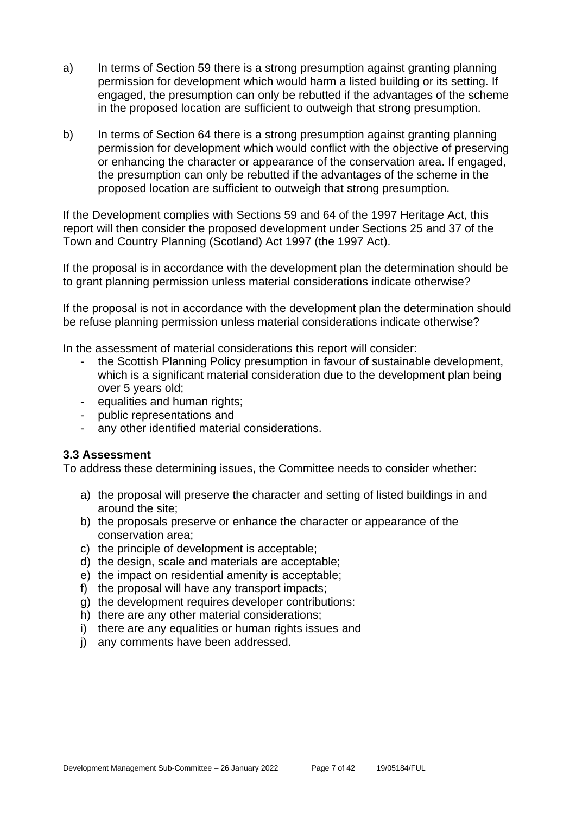- a) In terms of Section 59 there is a strong presumption against granting planning permission for development which would harm a listed building or its setting. If engaged, the presumption can only be rebutted if the advantages of the scheme in the proposed location are sufficient to outweigh that strong presumption.
- b) In terms of Section 64 there is a strong presumption against granting planning permission for development which would conflict with the objective of preserving or enhancing the character or appearance of the conservation area. If engaged, the presumption can only be rebutted if the advantages of the scheme in the proposed location are sufficient to outweigh that strong presumption.

If the Development complies with Sections 59 and 64 of the 1997 Heritage Act, this report will then consider the proposed development under Sections 25 and 37 of the Town and Country Planning (Scotland) Act 1997 (the 1997 Act).

If the proposal is in accordance with the development plan the determination should be to grant planning permission unless material considerations indicate otherwise?

If the proposal is not in accordance with the development plan the determination should be refuse planning permission unless material considerations indicate otherwise?

In the assessment of material considerations this report will consider:

- the Scottish Planning Policy presumption in favour of sustainable development, which is a significant material consideration due to the development plan being over 5 years old;
- equalities and human rights;
- public representations and
- any other identified material considerations.

#### **3.3 Assessment**

To address these determining issues, the Committee needs to consider whether:

- a) the proposal will preserve the character and setting of listed buildings in and around the site;
- b) the proposals preserve or enhance the character or appearance of the conservation area;
- c) the principle of development is acceptable;
- d) the design, scale and materials are acceptable;
- e) the impact on residential amenity is acceptable;
- f) the proposal will have any transport impacts:
- g) the development requires developer contributions:
- h) there are any other material considerations;
- i) there are any equalities or human rights issues and
- j) any comments have been addressed.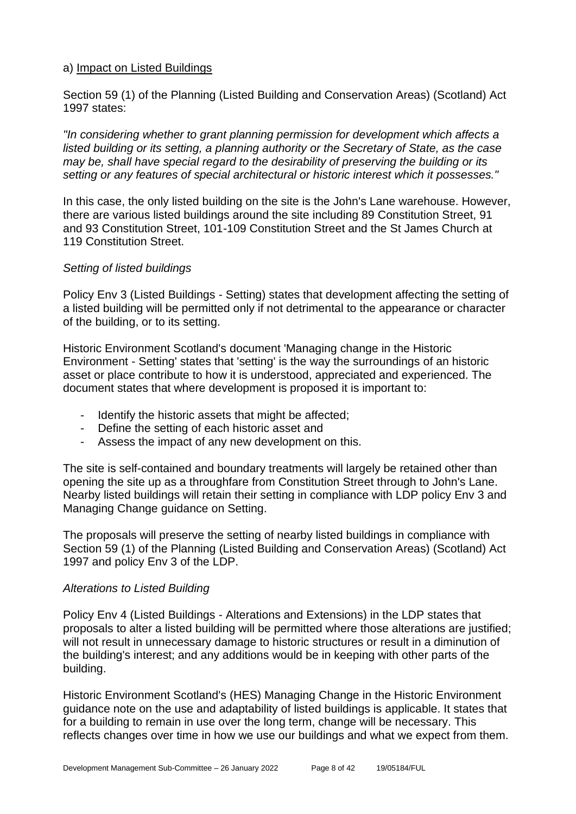#### a) Impact on Listed Buildings

Section 59 (1) of the Planning (Listed Building and Conservation Areas) (Scotland) Act 1997 states:

*"In considering whether to grant planning permission for development which affects a listed building or its setting, a planning authority or the Secretary of State, as the case may be, shall have special regard to the desirability of preserving the building or its setting or any features of special architectural or historic interest which it possesses."*

In this case, the only listed building on the site is the John's Lane warehouse. However, there are various listed buildings around the site including 89 Constitution Street, 91 and 93 Constitution Street, 101-109 Constitution Street and the St James Church at 119 Constitution Street.

#### *Setting of listed buildings*

Policy Env 3 (Listed Buildings - Setting) states that development affecting the setting of a listed building will be permitted only if not detrimental to the appearance or character of the building, or to its setting.

Historic Environment Scotland's document 'Managing change in the Historic Environment - Setting' states that 'setting' is the way the surroundings of an historic asset or place contribute to how it is understood, appreciated and experienced. The document states that where development is proposed it is important to:

- Identify the historic assets that might be affected;
- Define the setting of each historic asset and
- Assess the impact of any new development on this.

The site is self-contained and boundary treatments will largely be retained other than opening the site up as a throughfare from Constitution Street through to John's Lane. Nearby listed buildings will retain their setting in compliance with LDP policy Env 3 and Managing Change guidance on Setting.

The proposals will preserve the setting of nearby listed buildings in compliance with Section 59 (1) of the Planning (Listed Building and Conservation Areas) (Scotland) Act 1997 and policy Env 3 of the LDP.

#### *Alterations to Listed Building*

Policy Env 4 (Listed Buildings - Alterations and Extensions) in the LDP states that proposals to alter a listed building will be permitted where those alterations are justified; will not result in unnecessary damage to historic structures or result in a diminution of the building's interest; and any additions would be in keeping with other parts of the building.

Historic Environment Scotland's (HES) Managing Change in the Historic Environment guidance note on the use and adaptability of listed buildings is applicable. It states that for a building to remain in use over the long term, change will be necessary. This reflects changes over time in how we use our buildings and what we expect from them.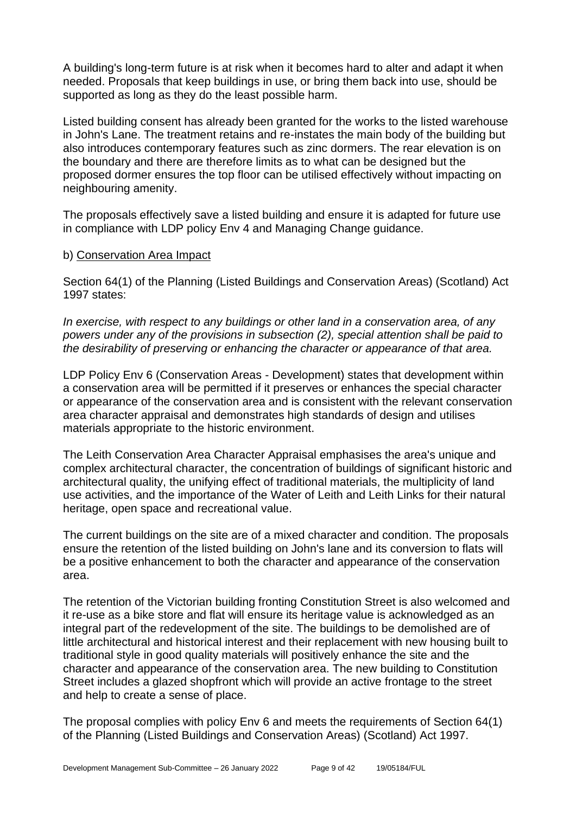A building's long-term future is at risk when it becomes hard to alter and adapt it when needed. Proposals that keep buildings in use, or bring them back into use, should be supported as long as they do the least possible harm.

Listed building consent has already been granted for the works to the listed warehouse in John's Lane. The treatment retains and re-instates the main body of the building but also introduces contemporary features such as zinc dormers. The rear elevation is on the boundary and there are therefore limits as to what can be designed but the proposed dormer ensures the top floor can be utilised effectively without impacting on neighbouring amenity.

The proposals effectively save a listed building and ensure it is adapted for future use in compliance with LDP policy Env 4 and Managing Change guidance.

#### b) Conservation Area Impact

Section 64(1) of the Planning (Listed Buildings and Conservation Areas) (Scotland) Act 1997 states:

*In exercise, with respect to any buildings or other land in a conservation area, of any powers under any of the provisions in subsection (2), special attention shall be paid to the desirability of preserving or enhancing the character or appearance of that area.*

LDP Policy Env 6 (Conservation Areas - Development) states that development within a conservation area will be permitted if it preserves or enhances the special character or appearance of the conservation area and is consistent with the relevant conservation area character appraisal and demonstrates high standards of design and utilises materials appropriate to the historic environment.

The Leith Conservation Area Character Appraisal emphasises the area's unique and complex architectural character, the concentration of buildings of significant historic and architectural quality, the unifying effect of traditional materials, the multiplicity of land use activities, and the importance of the Water of Leith and Leith Links for their natural heritage, open space and recreational value.

The current buildings on the site are of a mixed character and condition. The proposals ensure the retention of the listed building on John's lane and its conversion to flats will be a positive enhancement to both the character and appearance of the conservation area.

The retention of the Victorian building fronting Constitution Street is also welcomed and it re-use as a bike store and flat will ensure its heritage value is acknowledged as an integral part of the redevelopment of the site. The buildings to be demolished are of little architectural and historical interest and their replacement with new housing built to traditional style in good quality materials will positively enhance the site and the character and appearance of the conservation area. The new building to Constitution Street includes a glazed shopfront which will provide an active frontage to the street and help to create a sense of place.

The proposal complies with policy Env 6 and meets the requirements of Section 64(1) of the Planning (Listed Buildings and Conservation Areas) (Scotland) Act 1997.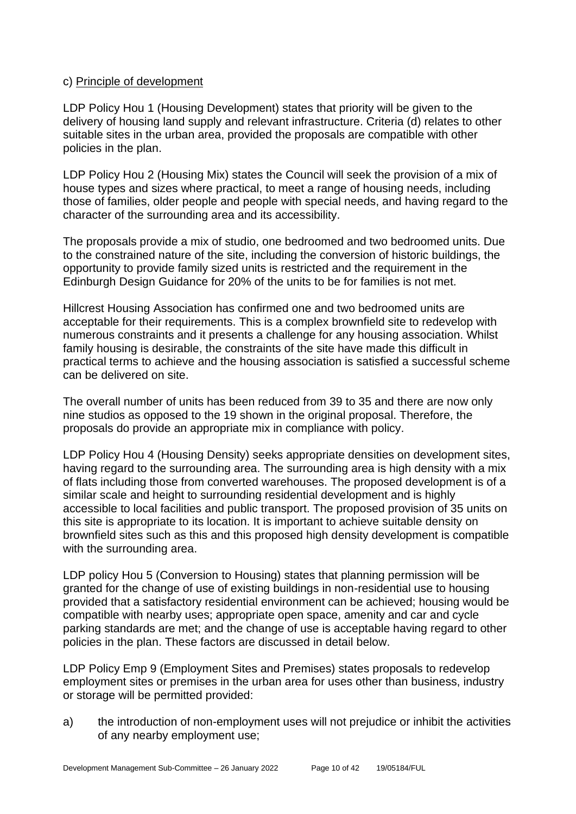#### c) Principle of development

LDP Policy Hou 1 (Housing Development) states that priority will be given to the delivery of housing land supply and relevant infrastructure. Criteria (d) relates to other suitable sites in the urban area, provided the proposals are compatible with other policies in the plan.

LDP Policy Hou 2 (Housing Mix) states the Council will seek the provision of a mix of house types and sizes where practical, to meet a range of housing needs, including those of families, older people and people with special needs, and having regard to the character of the surrounding area and its accessibility.

The proposals provide a mix of studio, one bedroomed and two bedroomed units. Due to the constrained nature of the site, including the conversion of historic buildings, the opportunity to provide family sized units is restricted and the requirement in the Edinburgh Design Guidance for 20% of the units to be for families is not met.

Hillcrest Housing Association has confirmed one and two bedroomed units are acceptable for their requirements. This is a complex brownfield site to redevelop with numerous constraints and it presents a challenge for any housing association. Whilst family housing is desirable, the constraints of the site have made this difficult in practical terms to achieve and the housing association is satisfied a successful scheme can be delivered on site.

The overall number of units has been reduced from 39 to 35 and there are now only nine studios as opposed to the 19 shown in the original proposal. Therefore, the proposals do provide an appropriate mix in compliance with policy.

LDP Policy Hou 4 (Housing Density) seeks appropriate densities on development sites, having regard to the surrounding area. The surrounding area is high density with a mix of flats including those from converted warehouses. The proposed development is of a similar scale and height to surrounding residential development and is highly accessible to local facilities and public transport. The proposed provision of 35 units on this site is appropriate to its location. It is important to achieve suitable density on brownfield sites such as this and this proposed high density development is compatible with the surrounding area.

LDP policy Hou 5 (Conversion to Housing) states that planning permission will be granted for the change of use of existing buildings in non-residential use to housing provided that a satisfactory residential environment can be achieved; housing would be compatible with nearby uses; appropriate open space, amenity and car and cycle parking standards are met; and the change of use is acceptable having regard to other policies in the plan. These factors are discussed in detail below.

LDP Policy Emp 9 (Employment Sites and Premises) states proposals to redevelop employment sites or premises in the urban area for uses other than business, industry or storage will be permitted provided:

a) the introduction of non-employment uses will not prejudice or inhibit the activities of any nearby employment use;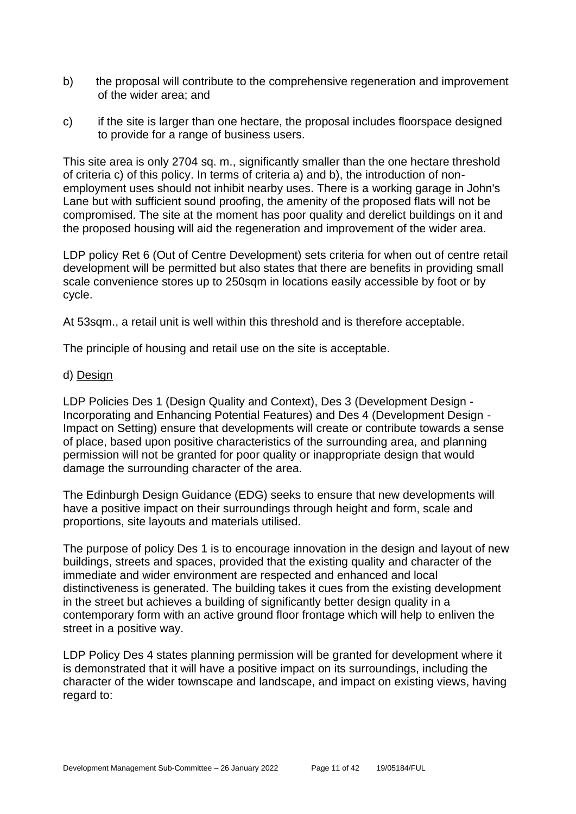- b) the proposal will contribute to the comprehensive regeneration and improvement of the wider area; and
- c) if the site is larger than one hectare, the proposal includes floorspace designed to provide for a range of business users.

This site area is only 2704 sq. m., significantly smaller than the one hectare threshold of criteria c) of this policy. In terms of criteria a) and b), the introduction of nonemployment uses should not inhibit nearby uses. There is a working garage in John's Lane but with sufficient sound proofing, the amenity of the proposed flats will not be compromised. The site at the moment has poor quality and derelict buildings on it and the proposed housing will aid the regeneration and improvement of the wider area.

LDP policy Ret 6 (Out of Centre Development) sets criteria for when out of centre retail development will be permitted but also states that there are benefits in providing small scale convenience stores up to 250sqm in locations easily accessible by foot or by cycle.

At 53sqm., a retail unit is well within this threshold and is therefore acceptable.

The principle of housing and retail use on the site is acceptable.

#### d) Design

LDP Policies Des 1 (Design Quality and Context), Des 3 (Development Design - Incorporating and Enhancing Potential Features) and Des 4 (Development Design - Impact on Setting) ensure that developments will create or contribute towards a sense of place, based upon positive characteristics of the surrounding area, and planning permission will not be granted for poor quality or inappropriate design that would damage the surrounding character of the area.

The Edinburgh Design Guidance (EDG) seeks to ensure that new developments will have a positive impact on their surroundings through height and form, scale and proportions, site layouts and materials utilised.

The purpose of policy Des 1 is to encourage innovation in the design and layout of new buildings, streets and spaces, provided that the existing quality and character of the immediate and wider environment are respected and enhanced and local distinctiveness is generated. The building takes it cues from the existing development in the street but achieves a building of significantly better design quality in a contemporary form with an active ground floor frontage which will help to enliven the street in a positive way.

LDP Policy Des 4 states planning permission will be granted for development where it is demonstrated that it will have a positive impact on its surroundings, including the character of the wider townscape and landscape, and impact on existing views, having regard to: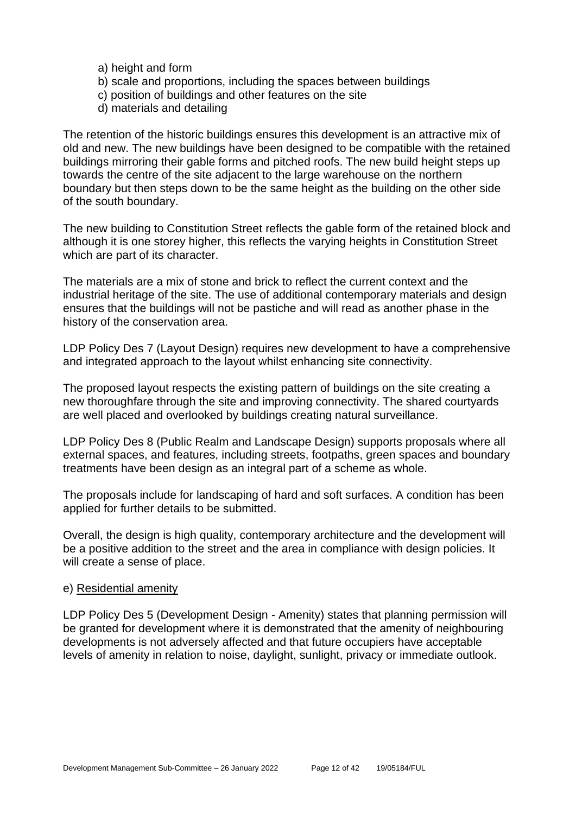- a) height and form
- b) scale and proportions, including the spaces between buildings
- c) position of buildings and other features on the site
- d) materials and detailing

The retention of the historic buildings ensures this development is an attractive mix of old and new. The new buildings have been designed to be compatible with the retained buildings mirroring their gable forms and pitched roofs. The new build height steps up towards the centre of the site adjacent to the large warehouse on the northern boundary but then steps down to be the same height as the building on the other side of the south boundary.

The new building to Constitution Street reflects the gable form of the retained block and although it is one storey higher, this reflects the varying heights in Constitution Street which are part of its character.

The materials are a mix of stone and brick to reflect the current context and the industrial heritage of the site. The use of additional contemporary materials and design ensures that the buildings will not be pastiche and will read as another phase in the history of the conservation area.

LDP Policy Des 7 (Layout Design) requires new development to have a comprehensive and integrated approach to the layout whilst enhancing site connectivity.

The proposed layout respects the existing pattern of buildings on the site creating a new thoroughfare through the site and improving connectivity. The shared courtyards are well placed and overlooked by buildings creating natural surveillance.

LDP Policy Des 8 (Public Realm and Landscape Design) supports proposals where all external spaces, and features, including streets, footpaths, green spaces and boundary treatments have been design as an integral part of a scheme as whole.

The proposals include for landscaping of hard and soft surfaces. A condition has been applied for further details to be submitted.

Overall, the design is high quality, contemporary architecture and the development will be a positive addition to the street and the area in compliance with design policies. It will create a sense of place.

#### e) Residential amenity

LDP Policy Des 5 (Development Design - Amenity) states that planning permission will be granted for development where it is demonstrated that the amenity of neighbouring developments is not adversely affected and that future occupiers have acceptable levels of amenity in relation to noise, daylight, sunlight, privacy or immediate outlook.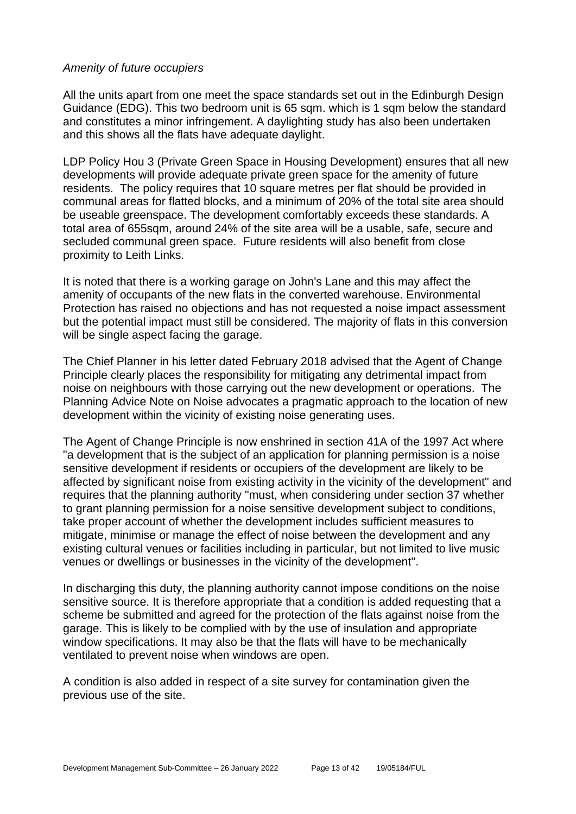#### *Amenity of future occupiers*

All the units apart from one meet the space standards set out in the Edinburgh Design Guidance (EDG). This two bedroom unit is 65 sqm. which is 1 sqm below the standard and constitutes a minor infringement. A daylighting study has also been undertaken and this shows all the flats have adequate daylight.

LDP Policy Hou 3 (Private Green Space in Housing Development) ensures that all new developments will provide adequate private green space for the amenity of future residents. The policy requires that 10 square metres per flat should be provided in communal areas for flatted blocks, and a minimum of 20% of the total site area should be useable greenspace. The development comfortably exceeds these standards. A total area of 655sqm, around 24% of the site area will be a usable, safe, secure and secluded communal green space. Future residents will also benefit from close proximity to Leith Links.

It is noted that there is a working garage on John's Lane and this may affect the amenity of occupants of the new flats in the converted warehouse. Environmental Protection has raised no objections and has not requested a noise impact assessment but the potential impact must still be considered. The majority of flats in this conversion will be single aspect facing the garage.

The Chief Planner in his letter dated February 2018 advised that the Agent of Change Principle clearly places the responsibility for mitigating any detrimental impact from noise on neighbours with those carrying out the new development or operations. The Planning Advice Note on Noise advocates a pragmatic approach to the location of new development within the vicinity of existing noise generating uses.

The Agent of Change Principle is now enshrined in section 41A of the 1997 Act where "a development that is the subject of an application for planning permission is a noise sensitive development if residents or occupiers of the development are likely to be affected by significant noise from existing activity in the vicinity of the development" and requires that the planning authority "must, when considering under section 37 whether to grant planning permission for a noise sensitive development subject to conditions, take proper account of whether the development includes sufficient measures to mitigate, minimise or manage the effect of noise between the development and any existing cultural venues or facilities including in particular, but not limited to live music venues or dwellings or businesses in the vicinity of the development".

In discharging this duty, the planning authority cannot impose conditions on the noise sensitive source. It is therefore appropriate that a condition is added requesting that a scheme be submitted and agreed for the protection of the flats against noise from the garage. This is likely to be complied with by the use of insulation and appropriate window specifications. It may also be that the flats will have to be mechanically ventilated to prevent noise when windows are open.

A condition is also added in respect of a site survey for contamination given the previous use of the site.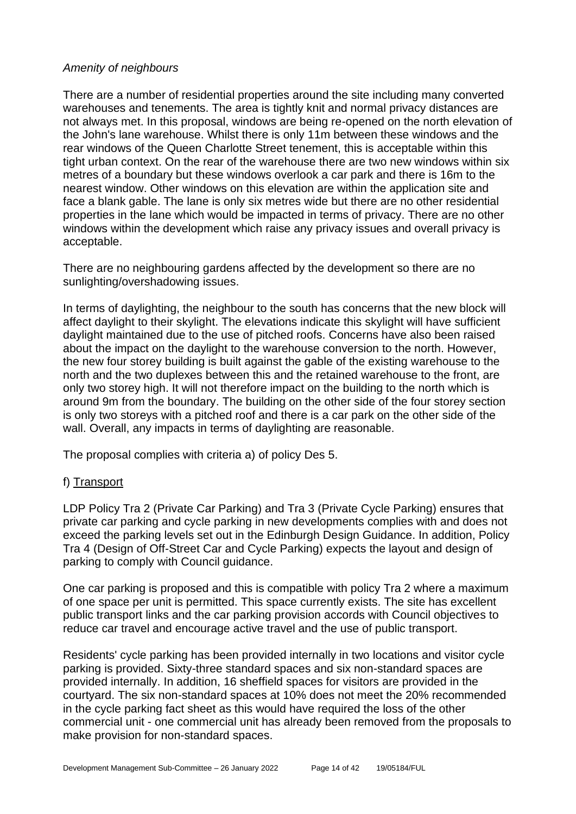#### *Amenity of neighbours*

There are a number of residential properties around the site including many converted warehouses and tenements. The area is tightly knit and normal privacy distances are not always met. In this proposal, windows are being re-opened on the north elevation of the John's lane warehouse. Whilst there is only 11m between these windows and the rear windows of the Queen Charlotte Street tenement, this is acceptable within this tight urban context. On the rear of the warehouse there are two new windows within six metres of a boundary but these windows overlook a car park and there is 16m to the nearest window. Other windows on this elevation are within the application site and face a blank gable. The lane is only six metres wide but there are no other residential properties in the lane which would be impacted in terms of privacy. There are no other windows within the development which raise any privacy issues and overall privacy is acceptable.

There are no neighbouring gardens affected by the development so there are no sunlighting/overshadowing issues.

In terms of daylighting, the neighbour to the south has concerns that the new block will affect daylight to their skylight. The elevations indicate this skylight will have sufficient daylight maintained due to the use of pitched roofs. Concerns have also been raised about the impact on the daylight to the warehouse conversion to the north. However, the new four storey building is built against the gable of the existing warehouse to the north and the two duplexes between this and the retained warehouse to the front, are only two storey high. It will not therefore impact on the building to the north which is around 9m from the boundary. The building on the other side of the four storey section is only two storeys with a pitched roof and there is a car park on the other side of the wall. Overall, any impacts in terms of daylighting are reasonable.

The proposal complies with criteria a) of policy Des 5.

#### f) Transport

LDP Policy Tra 2 (Private Car Parking) and Tra 3 (Private Cycle Parking) ensures that private car parking and cycle parking in new developments complies with and does not exceed the parking levels set out in the Edinburgh Design Guidance. In addition, Policy Tra 4 (Design of Off-Street Car and Cycle Parking) expects the layout and design of parking to comply with Council guidance.

One car parking is proposed and this is compatible with policy Tra 2 where a maximum of one space per unit is permitted. This space currently exists. The site has excellent public transport links and the car parking provision accords with Council objectives to reduce car travel and encourage active travel and the use of public transport.

Residents' cycle parking has been provided internally in two locations and visitor cycle parking is provided. Sixty-three standard spaces and six non-standard spaces are provided internally. In addition, 16 sheffield spaces for visitors are provided in the courtyard. The six non-standard spaces at 10% does not meet the 20% recommended in the cycle parking fact sheet as this would have required the loss of the other commercial unit - one commercial unit has already been removed from the proposals to make provision for non-standard spaces.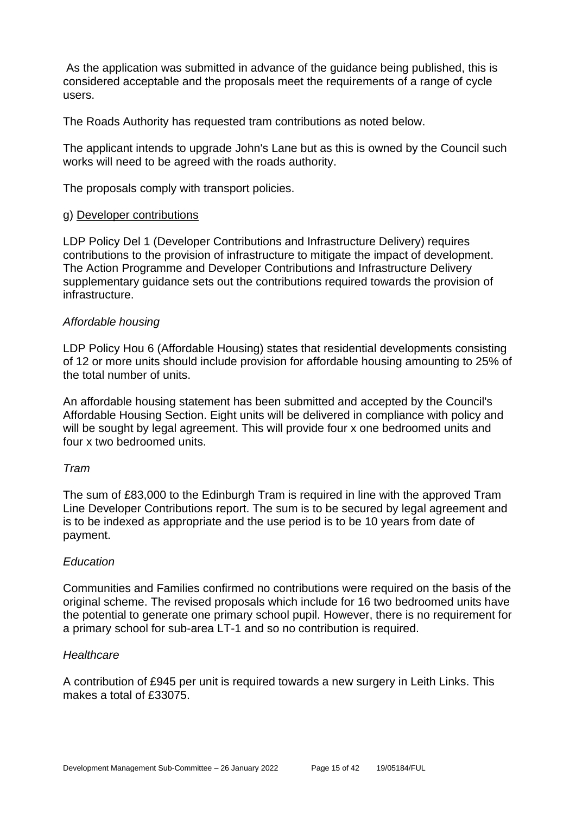As the application was submitted in advance of the guidance being published, this is considered acceptable and the proposals meet the requirements of a range of cycle users.

The Roads Authority has requested tram contributions as noted below.

The applicant intends to upgrade John's Lane but as this is owned by the Council such works will need to be agreed with the roads authority.

The proposals comply with transport policies.

#### g) Developer contributions

LDP Policy Del 1 (Developer Contributions and Infrastructure Delivery) requires contributions to the provision of infrastructure to mitigate the impact of development. The Action Programme and Developer Contributions and Infrastructure Delivery supplementary guidance sets out the contributions required towards the provision of infrastructure.

#### *Affordable housing*

LDP Policy Hou 6 (Affordable Housing) states that residential developments consisting of 12 or more units should include provision for affordable housing amounting to 25% of the total number of units.

An affordable housing statement has been submitted and accepted by the Council's Affordable Housing Section. Eight units will be delivered in compliance with policy and will be sought by legal agreement. This will provide four x one bedroomed units and four x two bedroomed units.

#### *Tram*

The sum of £83,000 to the Edinburgh Tram is required in line with the approved Tram Line Developer Contributions report. The sum is to be secured by legal agreement and is to be indexed as appropriate and the use period is to be 10 years from date of payment.

#### *Education*

Communities and Families confirmed no contributions were required on the basis of the original scheme. The revised proposals which include for 16 two bedroomed units have the potential to generate one primary school pupil. However, there is no requirement for a primary school for sub-area LT-1 and so no contribution is required.

#### *Healthcare*

A contribution of £945 per unit is required towards a new surgery in Leith Links. This makes a total of £33075.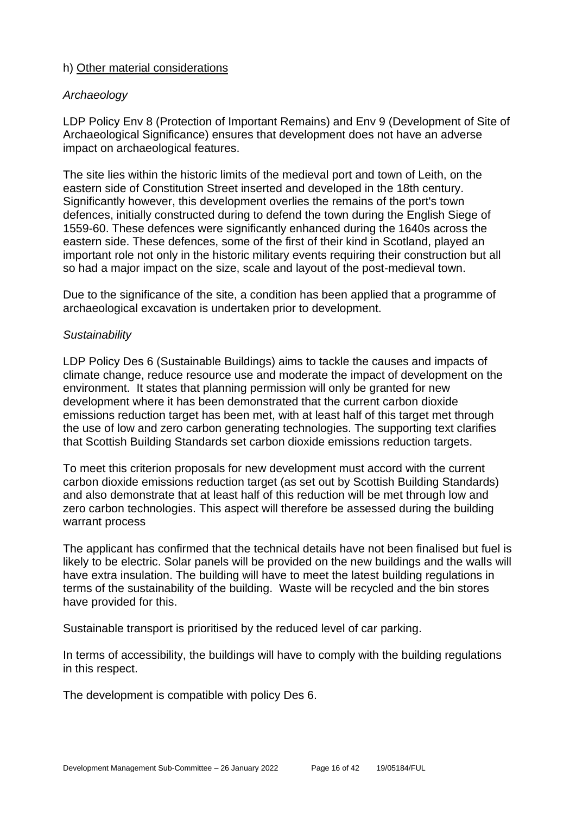#### h) Other material considerations

#### *Archaeology*

LDP Policy Env 8 (Protection of Important Remains) and Env 9 (Development of Site of Archaeological Significance) ensures that development does not have an adverse impact on archaeological features.

The site lies within the historic limits of the medieval port and town of Leith, on the eastern side of Constitution Street inserted and developed in the 18th century. Significantly however, this development overlies the remains of the port's town defences, initially constructed during to defend the town during the English Siege of 1559-60. These defences were significantly enhanced during the 1640s across the eastern side. These defences, some of the first of their kind in Scotland, played an important role not only in the historic military events requiring their construction but all so had a major impact on the size, scale and layout of the post-medieval town.

Due to the significance of the site, a condition has been applied that a programme of archaeological excavation is undertaken prior to development.

#### *Sustainability*

LDP Policy Des 6 (Sustainable Buildings) aims to tackle the causes and impacts of climate change, reduce resource use and moderate the impact of development on the environment. It states that planning permission will only be granted for new development where it has been demonstrated that the current carbon dioxide emissions reduction target has been met, with at least half of this target met through the use of low and zero carbon generating technologies. The supporting text clarifies that Scottish Building Standards set carbon dioxide emissions reduction targets.

To meet this criterion proposals for new development must accord with the current carbon dioxide emissions reduction target (as set out by Scottish Building Standards) and also demonstrate that at least half of this reduction will be met through low and zero carbon technologies. This aspect will therefore be assessed during the building warrant process

The applicant has confirmed that the technical details have not been finalised but fuel is likely to be electric. Solar panels will be provided on the new buildings and the walls will have extra insulation. The building will have to meet the latest building regulations in terms of the sustainability of the building. Waste will be recycled and the bin stores have provided for this.

Sustainable transport is prioritised by the reduced level of car parking.

In terms of accessibility, the buildings will have to comply with the building regulations in this respect.

The development is compatible with policy Des 6.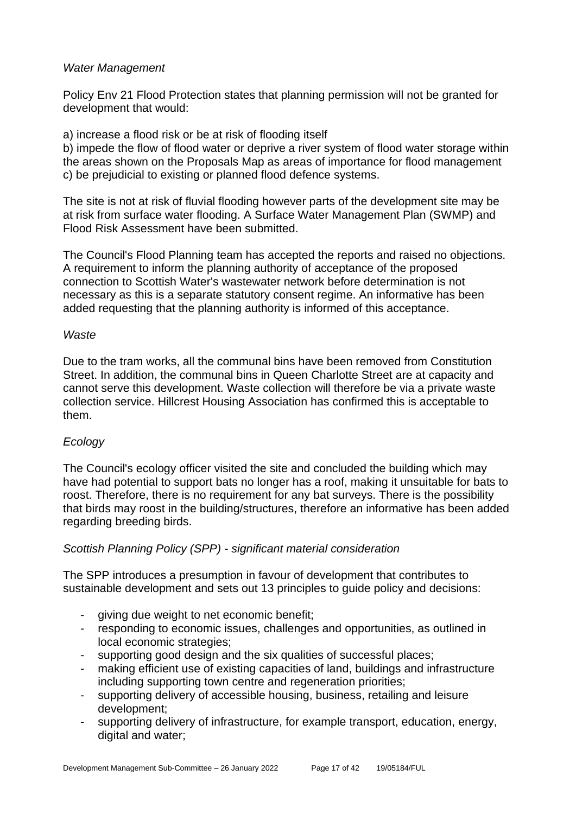#### *Water Management*

Policy Env 21 Flood Protection states that planning permission will not be granted for development that would:

a) increase a flood risk or be at risk of flooding itself

b) impede the flow of flood water or deprive a river system of flood water storage within the areas shown on the Proposals Map as areas of importance for flood management c) be prejudicial to existing or planned flood defence systems.

The site is not at risk of fluvial flooding however parts of the development site may be at risk from surface water flooding. A Surface Water Management Plan (SWMP) and Flood Risk Assessment have been submitted.

The Council's Flood Planning team has accepted the reports and raised no objections. A requirement to inform the planning authority of acceptance of the proposed connection to Scottish Water's wastewater network before determination is not necessary as this is a separate statutory consent regime. An informative has been added requesting that the planning authority is informed of this acceptance.

#### *Waste*

Due to the tram works, all the communal bins have been removed from Constitution Street. In addition, the communal bins in Queen Charlotte Street are at capacity and cannot serve this development. Waste collection will therefore be via a private waste collection service. Hillcrest Housing Association has confirmed this is acceptable to them.

# *Ecology*

The Council's ecology officer visited the site and concluded the building which may have had potential to support bats no longer has a roof, making it unsuitable for bats to roost. Therefore, there is no requirement for any bat surveys. There is the possibility that birds may roost in the building/structures, therefore an informative has been added regarding breeding birds.

#### *Scottish Planning Policy (SPP) - significant material consideration*

The SPP introduces a presumption in favour of development that contributes to sustainable development and sets out 13 principles to guide policy and decisions:

- giving due weight to net economic benefit;
- responding to economic issues, challenges and opportunities, as outlined in local economic strategies;
- supporting good design and the six qualities of successful places;
- making efficient use of existing capacities of land, buildings and infrastructure including supporting town centre and regeneration priorities;
- supporting delivery of accessible housing, business, retailing and leisure development;
- supporting delivery of infrastructure, for example transport, education, energy, digital and water;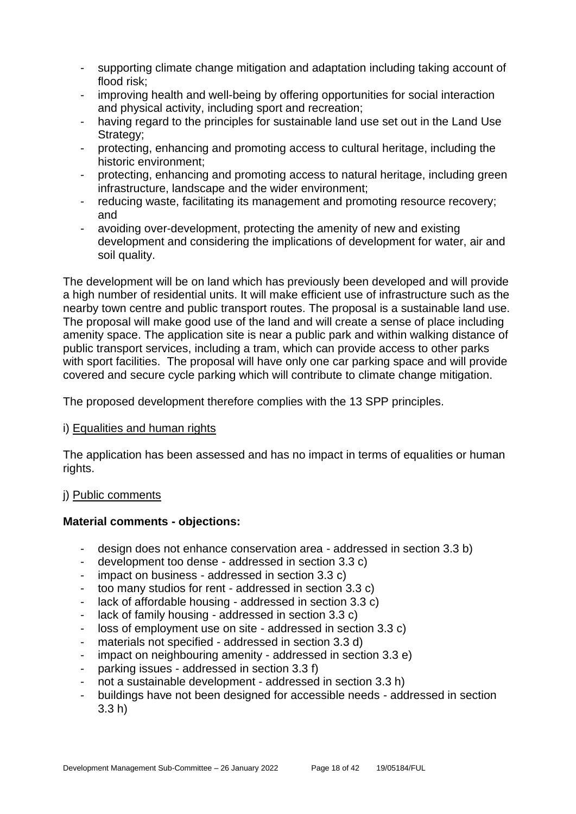- supporting climate change mitigation and adaptation including taking account of flood risk;
- improving health and well-being by offering opportunities for social interaction and physical activity, including sport and recreation;
- having regard to the principles for sustainable land use set out in the Land Use Strategy:
- protecting, enhancing and promoting access to cultural heritage, including the historic environment;
- protecting, enhancing and promoting access to natural heritage, including green infrastructure, landscape and the wider environment;
- reducing waste, facilitating its management and promoting resource recovery; and
- avoiding over-development, protecting the amenity of new and existing development and considering the implications of development for water, air and soil quality.

The development will be on land which has previously been developed and will provide a high number of residential units. It will make efficient use of infrastructure such as the nearby town centre and public transport routes. The proposal is a sustainable land use. The proposal will make good use of the land and will create a sense of place including amenity space. The application site is near a public park and within walking distance of public transport services, including a tram, which can provide access to other parks with sport facilities. The proposal will have only one car parking space and will provide covered and secure cycle parking which will contribute to climate change mitigation.

The proposed development therefore complies with the 13 SPP principles.

#### i) Equalities and human rights

The application has been assessed and has no impact in terms of equalities or human rights.

# j) Public comments

# **Material comments - objections:**

- design does not enhance conservation area addressed in section 3.3 b)
- development too dense addressed in section 3.3 c)
- impact on business addressed in section 3.3 c)
- too many studios for rent addressed in section 3.3 c)
- lack of affordable housing addressed in section 3.3 c)
- lack of family housing addressed in section 3.3 c)
- loss of employment use on site addressed in section 3.3 c)
- materials not specified addressed in section 3.3 d)
- impact on neighbouring amenity addressed in section 3.3 e)
- parking issues addressed in section 3.3 f)
- not a sustainable development addressed in section 3.3 h)
- buildings have not been designed for accessible needs addressed in section 3.3 h)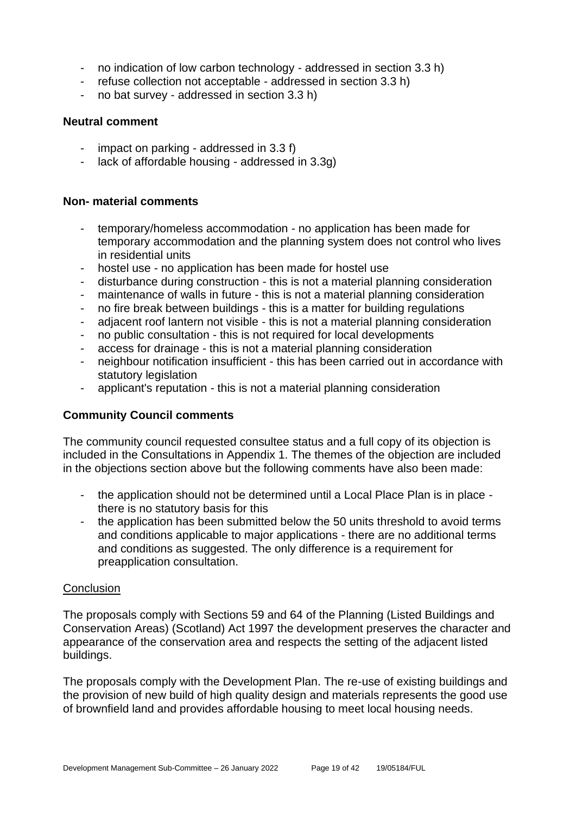- no indication of low carbon technology addressed in section 3.3 h)
- refuse collection not acceptable addressed in section 3.3 h)
- no bat survey addressed in section 3.3 h)

#### **Neutral comment**

- impact on parking addressed in 3.3 f)
- lack of affordable housing addressed in 3.3g)

#### **Non- material comments**

- temporary/homeless accommodation no application has been made for temporary accommodation and the planning system does not control who lives in residential units
- hostel use no application has been made for hostel use
- disturbance during construction this is not a material planning consideration
- maintenance of walls in future this is not a material planning consideration
- no fire break between buildings this is a matter for building regulations
- adjacent roof lantern not visible this is not a material planning consideration
- no public consultation this is not required for local developments
- access for drainage this is not a material planning consideration
- neighbour notification insufficient this has been carried out in accordance with statutory legislation
- applicant's reputation this is not a material planning consideration

#### **Community Council comments**

The community council requested consultee status and a full copy of its objection is included in the Consultations in Appendix 1. The themes of the objection are included in the objections section above but the following comments have also been made:

- the application should not be determined until a Local Place Plan is in place there is no statutory basis for this
- the application has been submitted below the 50 units threshold to avoid terms and conditions applicable to major applications - there are no additional terms and conditions as suggested. The only difference is a requirement for preapplication consultation.

#### **Conclusion**

The proposals comply with Sections 59 and 64 of the Planning (Listed Buildings and Conservation Areas) (Scotland) Act 1997 the development preserves the character and appearance of the conservation area and respects the setting of the adjacent listed buildings.

The proposals comply with the Development Plan. The re-use of existing buildings and the provision of new build of high quality design and materials represents the good use of brownfield land and provides affordable housing to meet local housing needs.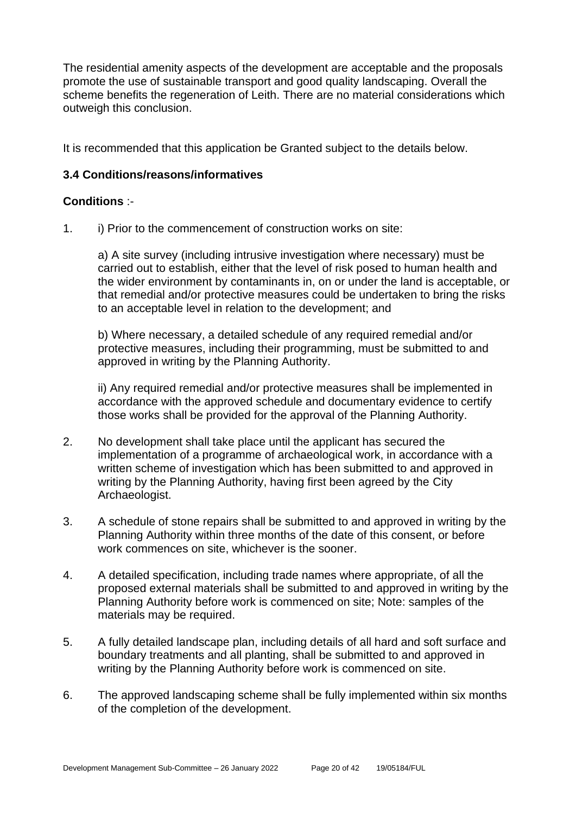The residential amenity aspects of the development are acceptable and the proposals promote the use of sustainable transport and good quality landscaping. Overall the scheme benefits the regeneration of Leith. There are no material considerations which outweigh this conclusion.

It is recommended that this application be Granted subject to the details below.

#### **3.4 Conditions/reasons/informatives**

#### **Conditions** :-

1. i) Prior to the commencement of construction works on site:

a) A site survey (including intrusive investigation where necessary) must be carried out to establish, either that the level of risk posed to human health and the wider environment by contaminants in, on or under the land is acceptable, or that remedial and/or protective measures could be undertaken to bring the risks to an acceptable level in relation to the development; and

b) Where necessary, a detailed schedule of any required remedial and/or protective measures, including their programming, must be submitted to and approved in writing by the Planning Authority.

ii) Any required remedial and/or protective measures shall be implemented in accordance with the approved schedule and documentary evidence to certify those works shall be provided for the approval of the Planning Authority.

- 2. No development shall take place until the applicant has secured the implementation of a programme of archaeological work, in accordance with a written scheme of investigation which has been submitted to and approved in writing by the Planning Authority, having first been agreed by the City Archaeologist.
- 3. A schedule of stone repairs shall be submitted to and approved in writing by the Planning Authority within three months of the date of this consent, or before work commences on site, whichever is the sooner.
- 4. A detailed specification, including trade names where appropriate, of all the proposed external materials shall be submitted to and approved in writing by the Planning Authority before work is commenced on site; Note: samples of the materials may be required.
- 5. A fully detailed landscape plan, including details of all hard and soft surface and boundary treatments and all planting, shall be submitted to and approved in writing by the Planning Authority before work is commenced on site.
- 6. The approved landscaping scheme shall be fully implemented within six months of the completion of the development.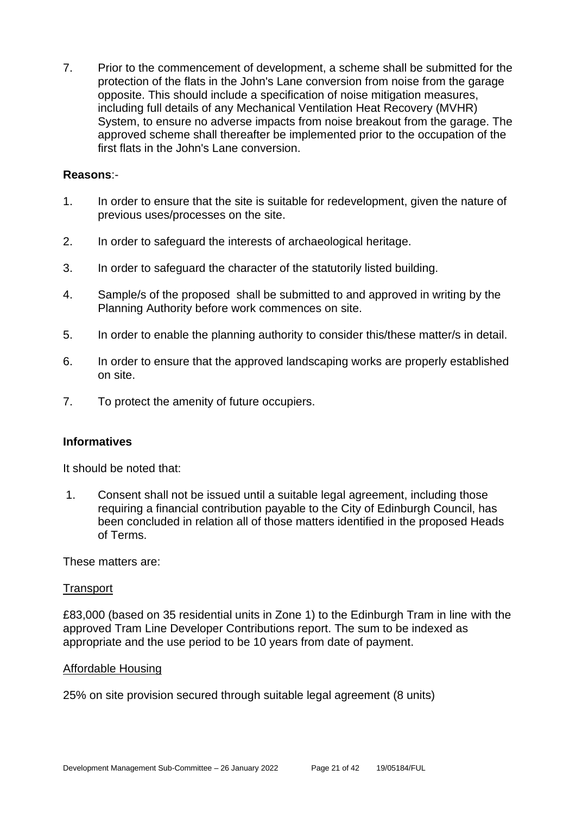7. Prior to the commencement of development, a scheme shall be submitted for the protection of the flats in the John's Lane conversion from noise from the garage opposite. This should include a specification of noise mitigation measures, including full details of any Mechanical Ventilation Heat Recovery (MVHR) System, to ensure no adverse impacts from noise breakout from the garage. The approved scheme shall thereafter be implemented prior to the occupation of the first flats in the John's Lane conversion.

#### **Reasons**:-

- 1. In order to ensure that the site is suitable for redevelopment, given the nature of previous uses/processes on the site.
- 2. In order to safeguard the interests of archaeological heritage.
- 3. In order to safeguard the character of the statutorily listed building.
- 4. Sample/s of the proposed shall be submitted to and approved in writing by the Planning Authority before work commences on site.
- 5. In order to enable the planning authority to consider this/these matter/s in detail.
- 6. In order to ensure that the approved landscaping works are properly established on site.
- 7. To protect the amenity of future occupiers.

#### **Informatives**

It should be noted that:

1. Consent shall not be issued until a suitable legal agreement, including those requiring a financial contribution payable to the City of Edinburgh Council, has been concluded in relation all of those matters identified in the proposed Heads of Terms.

These matters are:

#### **Transport**

£83,000 (based on 35 residential units in Zone 1) to the Edinburgh Tram in line with the approved Tram Line Developer Contributions report. The sum to be indexed as appropriate and the use period to be 10 years from date of payment.

#### Affordable Housing

25% on site provision secured through suitable legal agreement (8 units)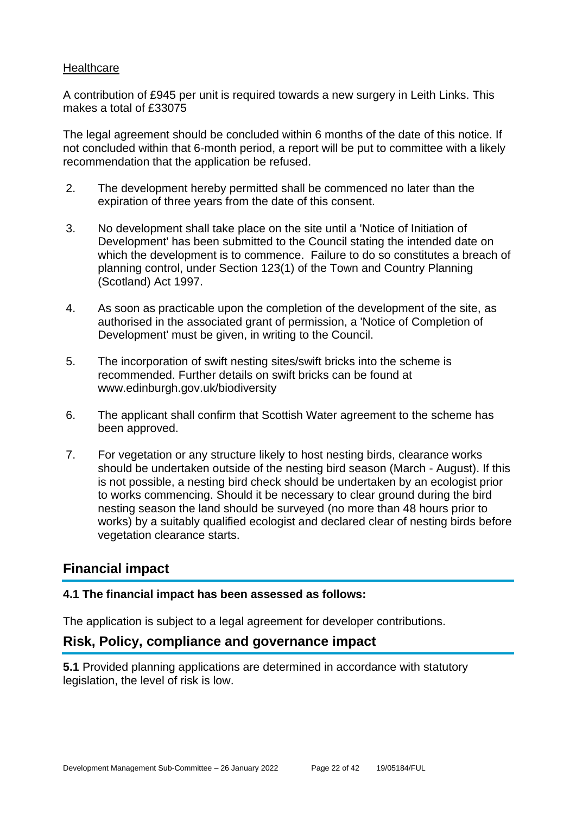#### **Healthcare**

A contribution of £945 per unit is required towards a new surgery in Leith Links. This makes a total of £33075

The legal agreement should be concluded within 6 months of the date of this notice. If not concluded within that 6-month period, a report will be put to committee with a likely recommendation that the application be refused.

- 2. The development hereby permitted shall be commenced no later than the expiration of three years from the date of this consent.
- 3. No development shall take place on the site until a 'Notice of Initiation of Development' has been submitted to the Council stating the intended date on which the development is to commence. Failure to do so constitutes a breach of planning control, under Section 123(1) of the Town and Country Planning (Scotland) Act 1997.
- 4. As soon as practicable upon the completion of the development of the site, as authorised in the associated grant of permission, a 'Notice of Completion of Development' must be given, in writing to the Council.
- 5. The incorporation of swift nesting sites/swift bricks into the scheme is recommended. Further details on swift bricks can be found at www.edinburgh.gov.uk/biodiversity
- 6. The applicant shall confirm that Scottish Water agreement to the scheme has been approved.
- 7. For vegetation or any structure likely to host nesting birds, clearance works should be undertaken outside of the nesting bird season (March - August). If this is not possible, a nesting bird check should be undertaken by an ecologist prior to works commencing. Should it be necessary to clear ground during the bird nesting season the land should be surveyed (no more than 48 hours prior to works) by a suitably qualified ecologist and declared clear of nesting birds before vegetation clearance starts.

# **Financial impact**

#### **4.1 The financial impact has been assessed as follows:**

The application is subject to a legal agreement for developer contributions.

# **Risk, Policy, compliance and governance impact**

**5.1** Provided planning applications are determined in accordance with statutory legislation, the level of risk is low.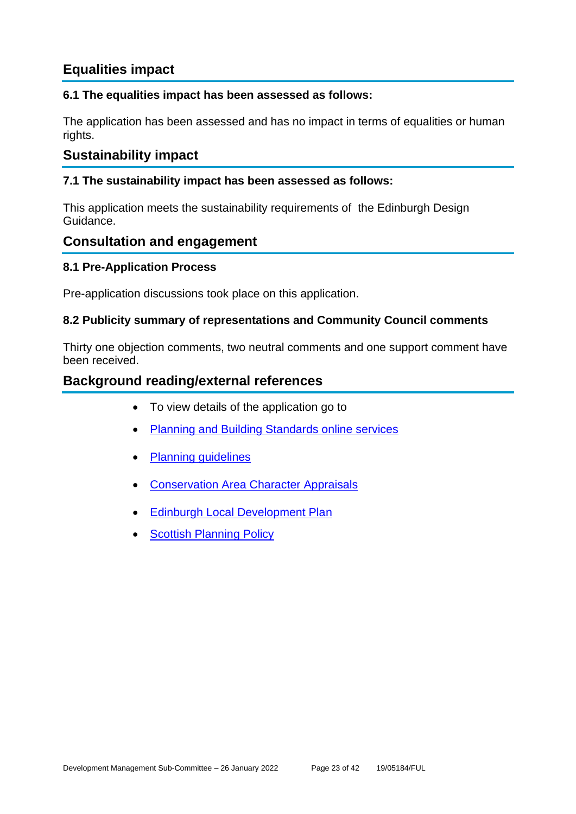# **Equalities impact**

#### **6.1 The equalities impact has been assessed as follows:**

The application has been assessed and has no impact in terms of equalities or human rights.

# **Sustainability impact**

#### **7.1 The sustainability impact has been assessed as follows:**

This application meets the sustainability requirements of the Edinburgh Design Guidance.

# **Consultation and engagement**

#### **8.1 Pre-Application Process**

Pre-application discussions took place on this application.

#### **8.2 Publicity summary of representations and Community Council comments**

Thirty one objection comments, two neutral comments and one support comment have been received.

# **Background reading/external references**

- To view details of the application go to
- [Planning and Building Standards online services](https://citydev-portal.edinburgh.gov.uk/idoxpa-web/search.do?action=simple&searchType=Application)
- [Planning guidelines](http://www.edinburgh.gov.uk/planningguidelines)
- [Conservation Area Character Appraisals](http://www.edinburgh.gov.uk/characterappraisals)
- [Edinburgh Local Development Plan](http://www.edinburgh.gov.uk/localdevelopmentplan)
- **[Scottish Planning Policy](http://www.scotland.gov.uk/Topics/Built-Environment/planning/Policy)**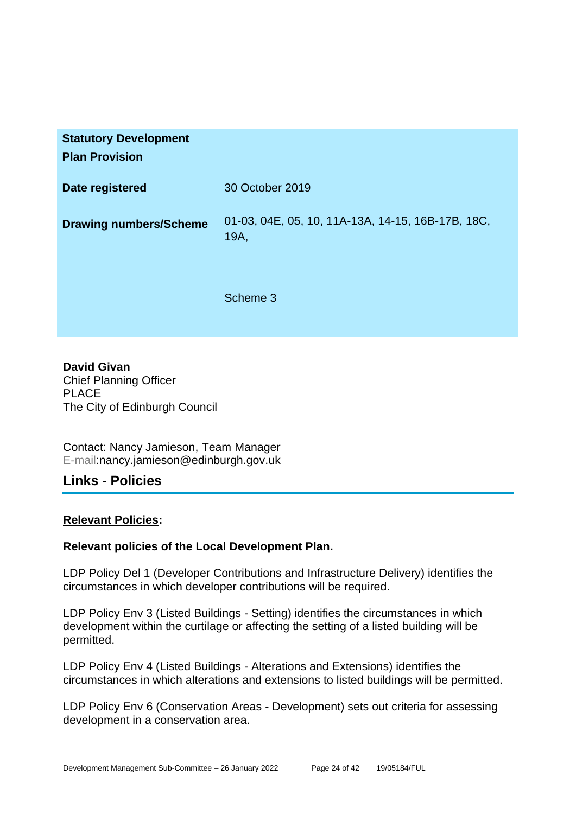| <b>Statutory Development</b><br><b>Plan Provision</b> |                                                           |
|-------------------------------------------------------|-----------------------------------------------------------|
| Date registered                                       | 30 October 2019                                           |
| <b>Drawing numbers/Scheme</b>                         | 01-03, 04E, 05, 10, 11A-13A, 14-15, 16B-17B, 18C,<br>19A, |
|                                                       | Scheme 3                                                  |

**David Givan** Chief Planning Officer PLACE The City of Edinburgh Council

Contact: Nancy Jamieson, Team Manager E-mail:nancy.jamieson@edinburgh.gov.uk

# **Links - Policies**

#### **Relevant Policies:**

#### **Relevant policies of the Local Development Plan.**

LDP Policy Del 1 (Developer Contributions and Infrastructure Delivery) identifies the circumstances in which developer contributions will be required.

LDP Policy Env 3 (Listed Buildings - Setting) identifies the circumstances in which development within the curtilage or affecting the setting of a listed building will be permitted.

LDP Policy Env 4 (Listed Buildings - Alterations and Extensions) identifies the circumstances in which alterations and extensions to listed buildings will be permitted.

LDP Policy Env 6 (Conservation Areas - Development) sets out criteria for assessing development in a conservation area.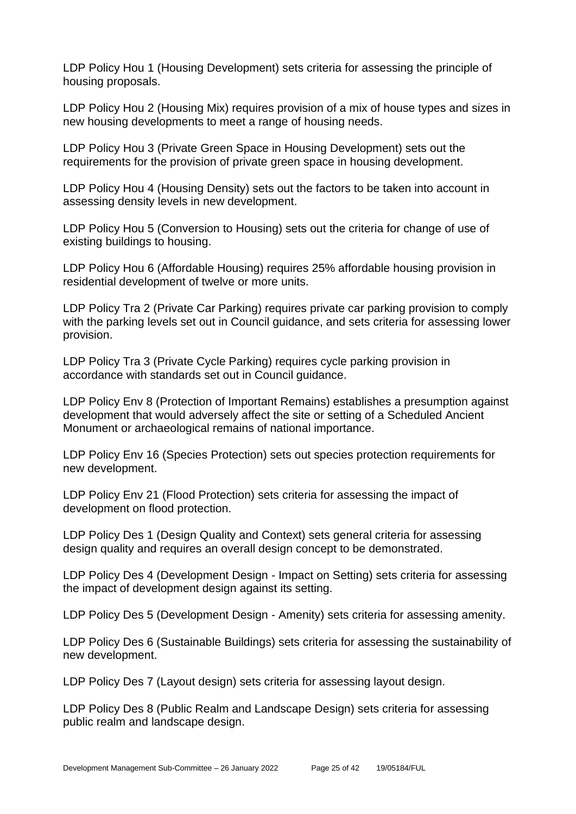LDP Policy Hou 1 (Housing Development) sets criteria for assessing the principle of housing proposals.

LDP Policy Hou 2 (Housing Mix) requires provision of a mix of house types and sizes in new housing developments to meet a range of housing needs.

LDP Policy Hou 3 (Private Green Space in Housing Development) sets out the requirements for the provision of private green space in housing development.

LDP Policy Hou 4 (Housing Density) sets out the factors to be taken into account in assessing density levels in new development.

LDP Policy Hou 5 (Conversion to Housing) sets out the criteria for change of use of existing buildings to housing.

LDP Policy Hou 6 (Affordable Housing) requires 25% affordable housing provision in residential development of twelve or more units.

LDP Policy Tra 2 (Private Car Parking) requires private car parking provision to comply with the parking levels set out in Council guidance, and sets criteria for assessing lower provision.

LDP Policy Tra 3 (Private Cycle Parking) requires cycle parking provision in accordance with standards set out in Council guidance.

LDP Policy Env 8 (Protection of Important Remains) establishes a presumption against development that would adversely affect the site or setting of a Scheduled Ancient Monument or archaeological remains of national importance.

LDP Policy Env 16 (Species Protection) sets out species protection requirements for new development.

LDP Policy Env 21 (Flood Protection) sets criteria for assessing the impact of development on flood protection.

LDP Policy Des 1 (Design Quality and Context) sets general criteria for assessing design quality and requires an overall design concept to be demonstrated.

LDP Policy Des 4 (Development Design - Impact on Setting) sets criteria for assessing the impact of development design against its setting.

LDP Policy Des 5 (Development Design - Amenity) sets criteria for assessing amenity.

LDP Policy Des 6 (Sustainable Buildings) sets criteria for assessing the sustainability of new development.

LDP Policy Des 7 (Layout design) sets criteria for assessing layout design.

LDP Policy Des 8 (Public Realm and Landscape Design) sets criteria for assessing public realm and landscape design.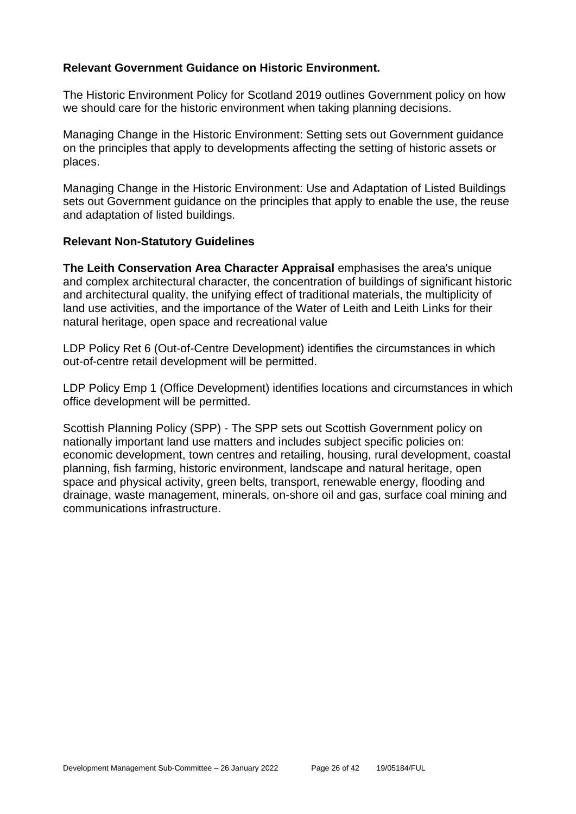#### **Relevant Government Guidance on Historic Environment.**

The Historic Environment Policy for Scotland 2019 outlines Government policy on how we should care for the historic environment when taking planning decisions.

Managing Change in the Historic Environment: Setting sets out Government guidance on the principles that apply to developments affecting the setting of historic assets or places.

Managing Change in the Historic Environment: Use and Adaptation of Listed Buildings sets out Government guidance on the principles that apply to enable the use, the reuse and adaptation of listed buildings.

#### **Relevant Non-Statutory Guidelines**

**The Leith Conservation Area Character Appraisal** emphasises the area's unique and complex architectural character, the concentration of buildings of significant historic and architectural quality, the unifying effect of traditional materials, the multiplicity of land use activities, and the importance of the Water of Leith and Leith Links for their natural heritage, open space and recreational value

LDP Policy Ret 6 (Out-of-Centre Development) identifies the circumstances in which out-of-centre retail development will be permitted.

LDP Policy Emp 1 (Office Development) identifies locations and circumstances in which office development will be permitted.

Scottish Planning Policy (SPP) - The SPP sets out Scottish Government policy on nationally important land use matters and includes subject specific policies on: economic development, town centres and retailing, housing, rural development, coastal planning, fish farming, historic environment, landscape and natural heritage, open space and physical activity, green belts, transport, renewable energy, flooding and drainage, waste management, minerals, on-shore oil and gas, surface coal mining and communications infrastructure.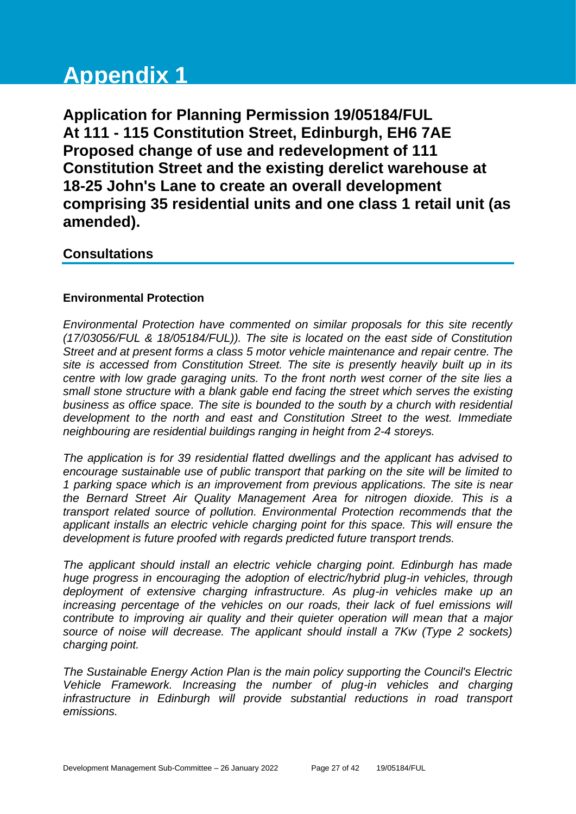# **Appendix 1**

**Application for Planning Permission 19/05184/FUL At 111 - 115 Constitution Street, Edinburgh, EH6 7AE Proposed change of use and redevelopment of 111 Constitution Street and the existing derelict warehouse at 18-25 John's Lane to create an overall development comprising 35 residential units and one class 1 retail unit (as amended).**

# **Consultations**

# **Environmental Protection**

*Environmental Protection have commented on similar proposals for this site recently (17/03056/FUL & 18/05184/FUL)). The site is located on the east side of Constitution Street and at present forms a class 5 motor vehicle maintenance and repair centre. The site is accessed from Constitution Street. The site is presently heavily built up in its centre with low grade garaging units. To the front north west corner of the site lies a small stone structure with a blank gable end facing the street which serves the existing business as office space. The site is bounded to the south by a church with residential development to the north and east and Constitution Street to the west. Immediate neighbouring are residential buildings ranging in height from 2-4 storeys.* 

*The application is for 39 residential flatted dwellings and the applicant has advised to encourage sustainable use of public transport that parking on the site will be limited to 1 parking space which is an improvement from previous applications. The site is near the Bernard Street Air Quality Management Area for nitrogen dioxide. This is a transport related source of pollution. Environmental Protection recommends that the applicant installs an electric vehicle charging point for this space. This will ensure the development is future proofed with regards predicted future transport trends.* 

*The applicant should install an electric vehicle charging point. Edinburgh has made huge progress in encouraging the adoption of electric/hybrid plug-in vehicles, through deployment of extensive charging infrastructure. As plug-in vehicles make up an increasing percentage of the vehicles on our roads, their lack of fuel emissions will contribute to improving air quality and their quieter operation will mean that a major source of noise will decrease. The applicant should install a 7Kw (Type 2 sockets) charging point.*

*The Sustainable Energy Action Plan is the main policy supporting the Council's Electric Vehicle Framework. Increasing the number of plug-in vehicles and charging infrastructure in Edinburgh will provide substantial reductions in road transport emissions.*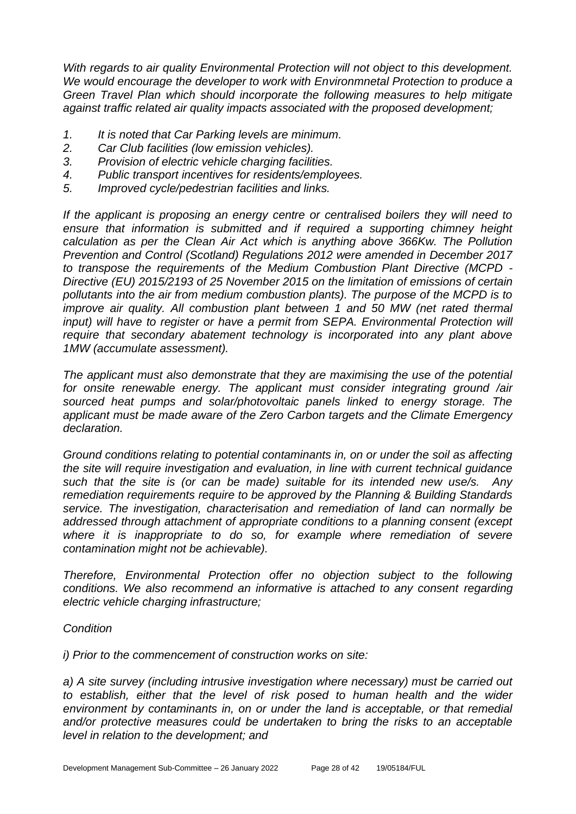*With regards to air quality Environmental Protection will not object to this development. We would encourage the developer to work with Environmnetal Protection to produce a Green Travel Plan which should incorporate the following measures to help mitigate against traffic related air quality impacts associated with the proposed development;*

- *1. It is noted that Car Parking levels are minimum.*
- *2. Car Club facilities (low emission vehicles).*
- *3. Provision of electric vehicle charging facilities.*
- *4. Public transport incentives for residents/employees.*
- *5. Improved cycle/pedestrian facilities and links.*

*If the applicant is proposing an energy centre or centralised boilers they will need to ensure that information is submitted and if required a supporting chimney height calculation as per the Clean Air Act which is anything above 366Kw. The Pollution Prevention and Control (Scotland) Regulations 2012 were amended in December 2017 to transpose the requirements of the Medium Combustion Plant Directive (MCPD - Directive (EU) 2015/2193 of 25 November 2015 on the limitation of emissions of certain pollutants into the air from medium combustion plants). The purpose of the MCPD is to improve air quality. All combustion plant between 1 and 50 MW (net rated thermal input)* will have to register or have a permit from SEPA. Environmental Protection will *require that secondary abatement technology is incorporated into any plant above 1MW (accumulate assessment).*

*The applicant must also demonstrate that they are maximising the use of the potential for onsite renewable energy. The applicant must consider integrating ground /air sourced heat pumps and solar/photovoltaic panels linked to energy storage. The applicant must be made aware of the Zero Carbon targets and the Climate Emergency declaration.*

*Ground conditions relating to potential contaminants in, on or under the soil as affecting the site will require investigation and evaluation, in line with current technical guidance such that the site is (or can be made) suitable for its intended new use/s. Any remediation requirements require to be approved by the Planning & Building Standards service. The investigation, characterisation and remediation of land can normally be addressed through attachment of appropriate conditions to a planning consent (except*  where it is inappropriate to do so, for example where remediation of severe *contamination might not be achievable).* 

*Therefore, Environmental Protection offer no objection subject to the following conditions. We also recommend an informative is attached to any consent regarding electric vehicle charging infrastructure;*

# *Condition*

*i) Prior to the commencement of construction works on site:*

*a) A site survey (including intrusive investigation where necessary) must be carried out to establish, either that the level of risk posed to human health and the wider environment by contaminants in, on or under the land is acceptable, or that remedial and/or protective measures could be undertaken to bring the risks to an acceptable level in relation to the development; and*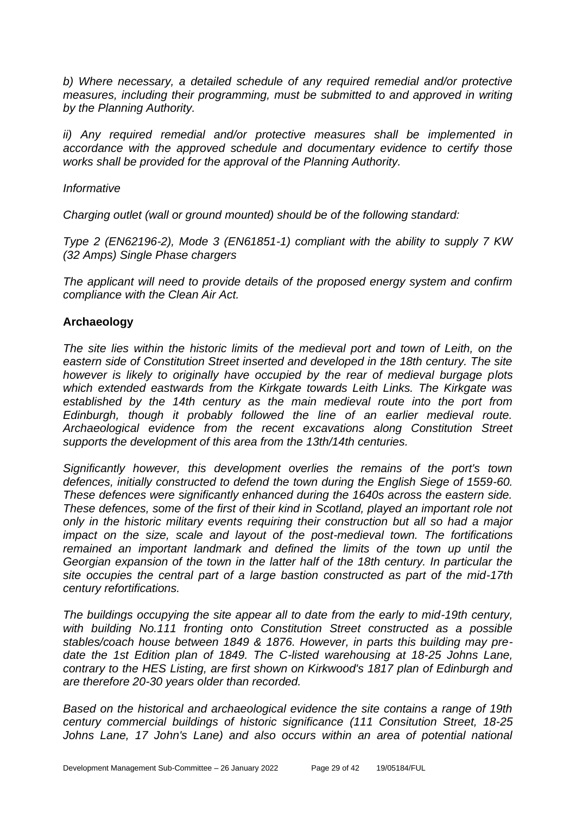*b) Where necessary, a detailed schedule of any required remedial and/or protective measures, including their programming, must be submitted to and approved in writing by the Planning Authority.*

*ii) Any required remedial and/or protective measures shall be implemented in accordance with the approved schedule and documentary evidence to certify those works shall be provided for the approval of the Planning Authority.*

#### *Informative*

*Charging outlet (wall or ground mounted) should be of the following standard:*

*Type 2 (EN62196-2), Mode 3 (EN61851-1) compliant with the ability to supply 7 KW (32 Amps) Single Phase chargers* 

*The applicant will need to provide details of the proposed energy system and confirm compliance with the Clean Air Act.*

#### **Archaeology**

*The site lies within the historic limits of the medieval port and town of Leith, on the eastern side of Constitution Street inserted and developed in the 18th century. The site however is likely to originally have occupied by the rear of medieval burgage plots which extended eastwards from the Kirkgate towards Leith Links. The Kirkgate was established by the 14th century as the main medieval route into the port from Edinburgh, though it probably followed the line of an earlier medieval route. Archaeological evidence from the recent excavations along Constitution Street supports the development of this area from the 13th/14th centuries.* 

*Significantly however, this development overlies the remains of the port's town defences, initially constructed to defend the town during the English Siege of 1559-60. These defences were significantly enhanced during the 1640s across the eastern side. These defences, some of the first of their kind in Scotland, played an important role not only in the historic military events requiring their construction but all so had a major impact on the size, scale and layout of the post-medieval town. The fortifications remained an important landmark and defined the limits of the town up until the Georgian expansion of the town in the latter half of the 18th century. In particular the site occupies the central part of a large bastion constructed as part of the mid-17th century refortifications.*

*The buildings occupying the site appear all to date from the early to mid-19th century, with building No.111 fronting onto Constitution Street constructed as a possible stables/coach house between 1849 & 1876. However, in parts this building may predate the 1st Edition plan of 1849. The C-listed warehousing at 18-25 Johns Lane, contrary to the HES Listing, are first shown on Kirkwood's 1817 plan of Edinburgh and are therefore 20-30 years older than recorded.* 

*Based on the historical and archaeological evidence the site contains a range of 19th century commercial buildings of historic significance (111 Consitution Street, 18-25*  Johns Lane, 17 John's Lane) and also occurs within an area of potential national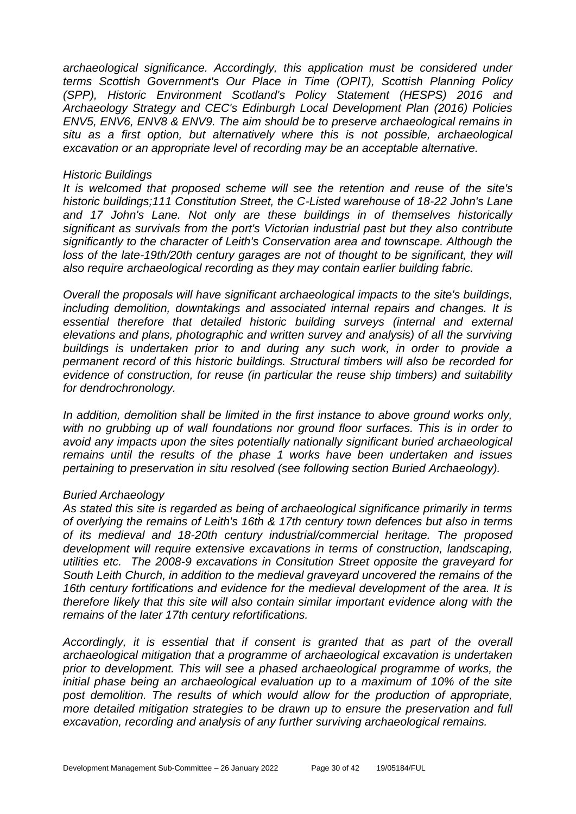*archaeological significance. Accordingly, this application must be considered under terms Scottish Government's Our Place in Time (OPIT), Scottish Planning Policy (SPP), Historic Environment Scotland's Policy Statement (HESPS) 2016 and Archaeology Strategy and CEC's Edinburgh Local Development Plan (2016) Policies ENV5, ENV6, ENV8 & ENV9. The aim should be to preserve archaeological remains in situ as a first option, but alternatively where this is not possible, archaeological excavation or an appropriate level of recording may be an acceptable alternative.*

#### *Historic Buildings*

*It is welcomed that proposed scheme will see the retention and reuse of the site's historic buildings;111 Constitution Street, the C-Listed warehouse of 18-22 John's Lane and 17 John's Lane. Not only are these buildings in of themselves historically significant as survivals from the port's Victorian industrial past but they also contribute significantly to the character of Leith's Conservation area and townscape. Although the loss of the late-19th/20th century garages are not of thought to be significant, they will also require archaeological recording as they may contain earlier building fabric.* 

*Overall the proposals will have significant archaeological impacts to the site's buildings, including demolition, downtakings and associated internal repairs and changes. It is essential therefore that detailed historic building surveys (internal and external elevations and plans, photographic and written survey and analysis) of all the surviving buildings is undertaken prior to and during any such work, in order to provide a permanent record of this historic buildings. Structural timbers will also be recorded for evidence of construction, for reuse (in particular the reuse ship timbers) and suitability for dendrochronology.* 

*In addition, demolition shall be limited in the first instance to above ground works only, with no grubbing up of wall foundations nor ground floor surfaces. This is in order to avoid any impacts upon the sites potentially nationally significant buried archaeological remains until the results of the phase 1 works have been undertaken and issues pertaining to preservation in situ resolved (see following section Buried Archaeology).*

#### *Buried Archaeology*

*As stated this site is regarded as being of archaeological significance primarily in terms of overlying the remains of Leith's 16th & 17th century town defences but also in terms of its medieval and 18-20th century industrial/commercial heritage. The proposed development will require extensive excavations in terms of construction, landscaping, utilities etc. The 2008-9 excavations in Consitution Street opposite the graveyard for South Leith Church, in addition to the medieval graveyard uncovered the remains of the 16th century fortifications and evidence for the medieval development of the area. It is therefore likely that this site will also contain similar important evidence along with the remains of the later 17th century refortifications.* 

*Accordingly, it is essential that if consent is granted that as part of the overall archaeological mitigation that a programme of archaeological excavation is undertaken prior to development. This will see a phased archaeological programme of works, the initial phase being an archaeological evaluation up to a maximum of 10% of the site post demolition. The results of which would allow for the production of appropriate, more detailed mitigation strategies to be drawn up to ensure the preservation and full excavation, recording and analysis of any further surviving archaeological remains.*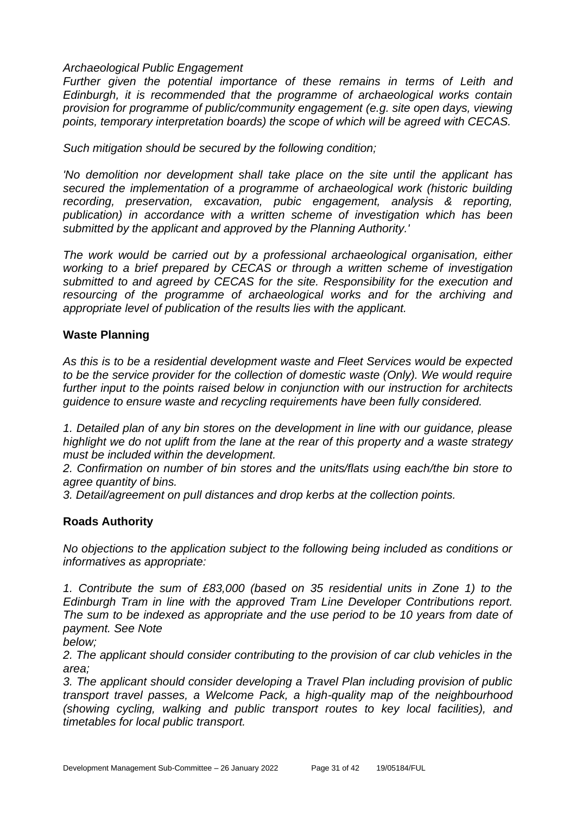#### *Archaeological Public Engagement*

*Further given the potential importance of these remains in terms of Leith and Edinburgh, it is recommended that the programme of archaeological works contain provision for programme of public/community engagement (e.g. site open days, viewing points, temporary interpretation boards) the scope of which will be agreed with CECAS.* 

*Such mitigation should be secured by the following condition;* 

*'No demolition nor development shall take place on the site until the applicant has secured the implementation of a programme of archaeological work (historic building recording, preservation, excavation, pubic engagement, analysis & reporting, publication) in accordance with a written scheme of investigation which has been submitted by the applicant and approved by the Planning Authority.'* 

*The work would be carried out by a professional archaeological organisation, either working to a brief prepared by CECAS or through a written scheme of investigation submitted to and agreed by CECAS for the site. Responsibility for the execution and resourcing of the programme of archaeological works and for the archiving and appropriate level of publication of the results lies with the applicant.*

#### **Waste Planning**

*As this is to be a residential development waste and Fleet Services would be expected to be the service provider for the collection of domestic waste (Only). We would require further input to the points raised below in conjunction with our instruction for architects guidence to ensure waste and recycling requirements have been fully considered.*

*1. Detailed plan of any bin stores on the development in line with our guidance, please highlight we do not uplift from the lane at the rear of this property and a waste strategy must be included within the development.*

*2. Confirmation on number of bin stores and the units/flats using each/the bin store to agree quantity of bins.*

*3. Detail/agreement on pull distances and drop kerbs at the collection points.*

#### **Roads Authority**

*No objections to the application subject to the following being included as conditions or informatives as appropriate:*

*1. Contribute the sum of £83,000 (based on 35 residential units in Zone 1) to the Edinburgh Tram in line with the approved Tram Line Developer Contributions report. The sum to be indexed as appropriate and the use period to be 10 years from date of payment. See Note*

*below;*

*2. The applicant should consider contributing to the provision of car club vehicles in the area;*

*3. The applicant should consider developing a Travel Plan including provision of public transport travel passes, a Welcome Pack, a high-quality map of the neighbourhood (showing cycling, walking and public transport routes to key local facilities), and timetables for local public transport.*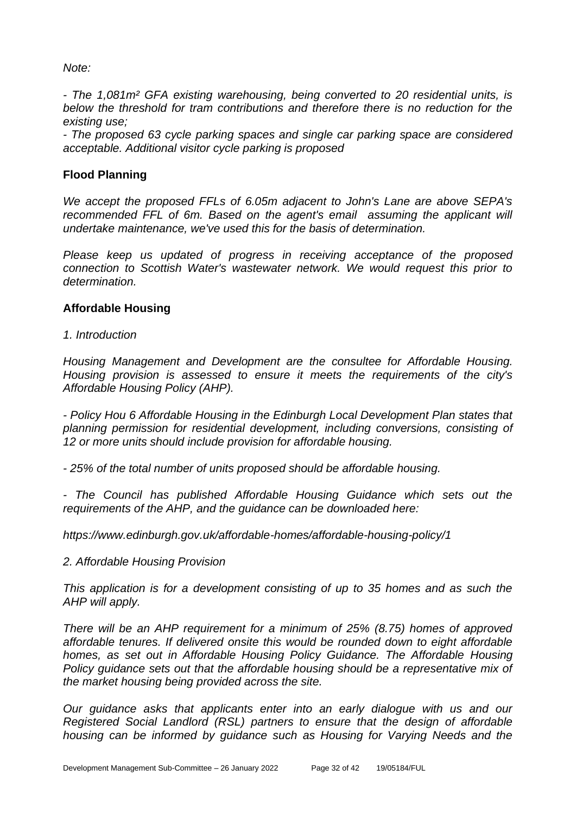#### *Note:*

*- The 1,081m² GFA existing warehousing, being converted to 20 residential units, is below the threshold for tram contributions and therefore there is no reduction for the existing use;*

*- The proposed 63 cycle parking spaces and single car parking space are considered acceptable. Additional visitor cycle parking is proposed*

### **Flood Planning**

*We accept the proposed FFLs of 6.05m adjacent to John's Lane are above SEPA's recommended FFL of 6m. Based on the agent's email assuming the applicant will undertake maintenance, we've used this for the basis of determination.* 

*Please keep us updated of progress in receiving acceptance of the proposed connection to Scottish Water's wastewater network. We would request this prior to determination.*

#### **Affordable Housing**

*1. Introduction*

*Housing Management and Development are the consultee for Affordable Housing. Housing provision is assessed to ensure it meets the requirements of the city's Affordable Housing Policy (AHP).*

*- Policy Hou 6 Affordable Housing in the Edinburgh Local Development Plan states that planning permission for residential development, including conversions, consisting of 12 or more units should include provision for affordable housing.* 

*- 25% of the total number of units proposed should be affordable housing.* 

*- The Council has published Affordable Housing Guidance which sets out the requirements of the AHP, and the guidance can be downloaded here:*

*https://www.edinburgh.gov.uk/affordable-homes/affordable-housing-policy/1*

*2. Affordable Housing Provision*

*This application is for a development consisting of up to 35 homes and as such the AHP will apply.* 

*There will be an AHP requirement for a minimum of 25% (8.75) homes of approved affordable tenures. If delivered onsite this would be rounded down to eight affordable homes, as set out in Affordable Housing Policy Guidance. The Affordable Housing Policy guidance sets out that the affordable housing should be a representative mix of the market housing being provided across the site.* 

*Our guidance asks that applicants enter into an early dialogue with us and our Registered Social Landlord (RSL) partners to ensure that the design of affordable housing can be informed by guidance such as Housing for Varying Needs and the*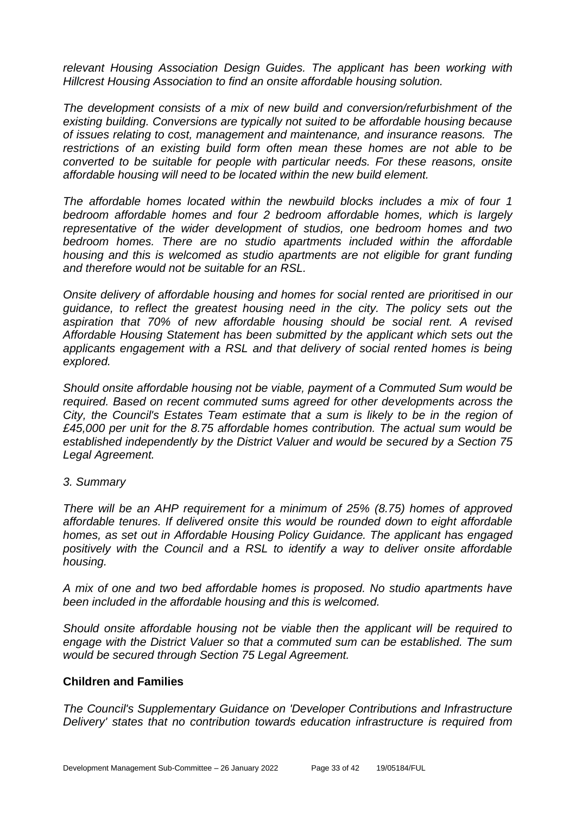*relevant Housing Association Design Guides. The applicant has been working with Hillcrest Housing Association to find an onsite affordable housing solution.*

*The development consists of a mix of new build and conversion/refurbishment of the existing building. Conversions are typically not suited to be affordable housing because of issues relating to cost, management and maintenance, and insurance reasons. The restrictions of an existing build form often mean these homes are not able to be converted to be suitable for people with particular needs. For these reasons, onsite affordable housing will need to be located within the new build element.*

*The affordable homes located within the newbuild blocks includes a mix of four 1 bedroom affordable homes and four 2 bedroom affordable homes, which is largely representative of the wider development of studios, one bedroom homes and two bedroom homes. There are no studio apartments included within the affordable housing and this is welcomed as studio apartments are not eligible for grant funding and therefore would not be suitable for an RSL.* 

*Onsite delivery of affordable housing and homes for social rented are prioritised in our guidance, to reflect the greatest housing need in the city. The policy sets out the aspiration that 70% of new affordable housing should be social rent. A revised Affordable Housing Statement has been submitted by the applicant which sets out the applicants engagement with a RSL and that delivery of social rented homes is being explored.* 

*Should onsite affordable housing not be viable, payment of a Commuted Sum would be required. Based on recent commuted sums agreed for other developments across the City, the Council's Estates Team estimate that a sum is likely to be in the region of £45,000 per unit for the 8.75 affordable homes contribution. The actual sum would be established independently by the District Valuer and would be secured by a Section 75 Legal Agreement.*

#### *3. Summary*

*There will be an AHP requirement for a minimum of 25% (8.75) homes of approved affordable tenures. If delivered onsite this would be rounded down to eight affordable homes, as set out in Affordable Housing Policy Guidance. The applicant has engaged positively with the Council and a RSL to identify a way to deliver onsite affordable housing.*

*A mix of one and two bed affordable homes is proposed. No studio apartments have been included in the affordable housing and this is welcomed.* 

*Should onsite affordable housing not be viable then the applicant will be required to engage with the District Valuer so that a commuted sum can be established. The sum would be secured through Section 75 Legal Agreement.*

#### **Children and Families**

*The Council's Supplementary Guidance on 'Developer Contributions and Infrastructure Delivery' states that no contribution towards education infrastructure is required from*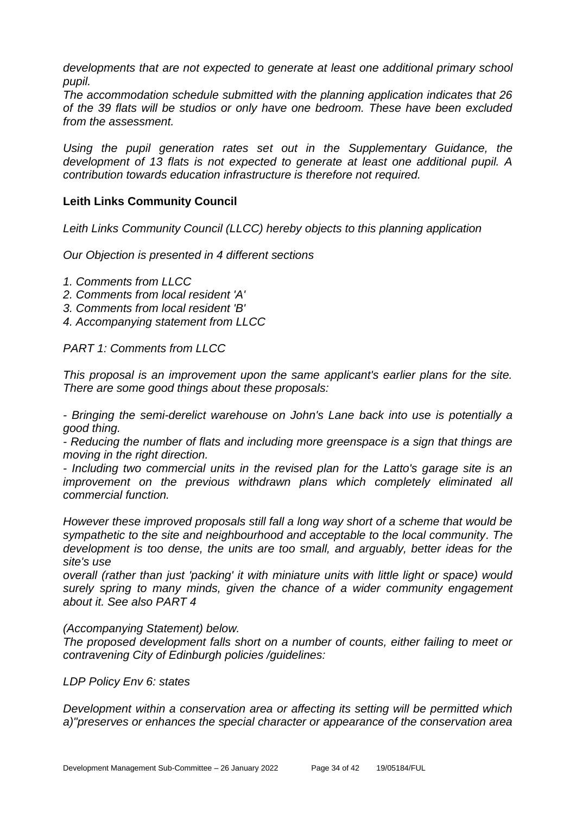*developments that are not expected to generate at least one additional primary school pupil.*

*The accommodation schedule submitted with the planning application indicates that 26 of the 39 flats will be studios or only have one bedroom. These have been excluded from the assessment.*

*Using the pupil generation rates set out in the Supplementary Guidance, the development of 13 flats is not expected to generate at least one additional pupil. A contribution towards education infrastructure is therefore not required.*

#### **Leith Links Community Council**

*Leith Links Community Council (LLCC) hereby objects to this planning application*

*Our Objection is presented in 4 different sections*

- *1. Comments from LLCC*
- *2. Comments from local resident 'A'*
- *3. Comments from local resident 'B'*
- *4. Accompanying statement from LLCC*

*PART 1: Comments from LLCC*

*This proposal is an improvement upon the same applicant's earlier plans for the site. There are some good things about these proposals:*

*- Bringing the semi-derelict warehouse on John's Lane back into use is potentially a good thing.*

*- Reducing the number of flats and including more greenspace is a sign that things are moving in the right direction.*

*- Including two commercial units in the revised plan for the Latto's garage site is an improvement on the previous withdrawn plans which completely eliminated all commercial function.*

*However these improved proposals still fall a long way short of a scheme that would be sympathetic to the site and neighbourhood and acceptable to the local community. The development is too dense, the units are too small, and arguably, better ideas for the site's use*

*overall (rather than just 'packing' it with miniature units with little light or space) would surely spring to many minds, given the chance of a wider community engagement about it. See also PART 4*

*(Accompanying Statement) below.*

*The proposed development falls short on a number of counts, either failing to meet or contravening City of Edinburgh policies /guidelines:*

*LDP Policy Env 6: states*

*Development within a conservation area or affecting its setting will be permitted which a)"preserves or enhances the special character or appearance of the conservation area*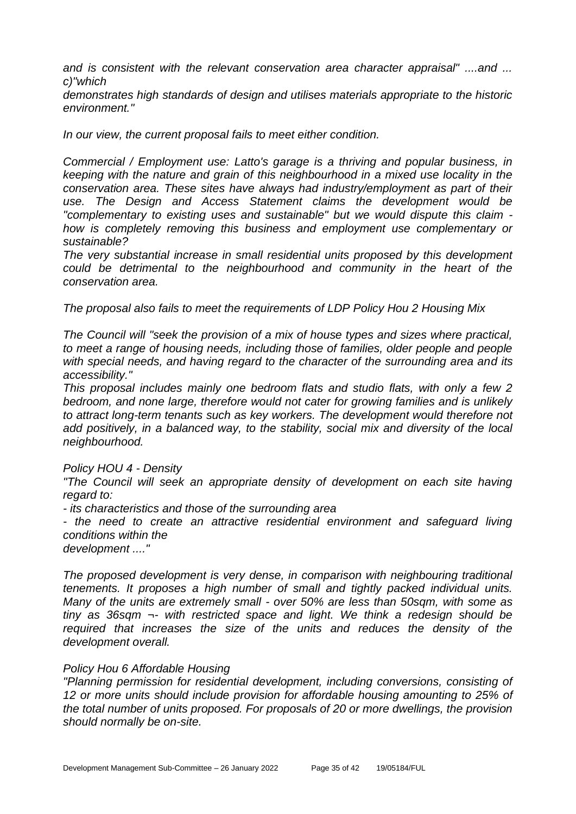*and is consistent with the relevant conservation area character appraisal" ....and ... c)"which*

*demonstrates high standards of design and utilises materials appropriate to the historic environment."*

*In our view, the current proposal fails to meet either condition.*

*Commercial / Employment use: Latto's garage is a thriving and popular business, in keeping with the nature and grain of this neighbourhood in a mixed use locality in the conservation area. These sites have always had industry/employment as part of their use. The Design and Access Statement claims the development would be "complementary to existing uses and sustainable" but we would dispute this claim how is completely removing this business and employment use complementary or sustainable?*

*The very substantial increase in small residential units proposed by this development could be detrimental to the neighbourhood and community in the heart of the conservation area.*

*The proposal also fails to meet the requirements of LDP Policy Hou 2 Housing Mix*

*The Council will "seek the provision of a mix of house types and sizes where practical, to meet a range of housing needs, including those of families, older people and people with special needs, and having regard to the character of the surrounding area and its accessibility."*

*This proposal includes mainly one bedroom flats and studio flats, with only a few 2 bedroom, and none large, therefore would not cater for growing families and is unlikely to attract long-term tenants such as key workers. The development would therefore not add positively, in a balanced way, to the stability, social mix and diversity of the local neighbourhood.*

#### *Policy HOU 4 - Density*

*"The Council will seek an appropriate density of development on each site having regard to:*

*- its characteristics and those of the surrounding area*

*- the need to create an attractive residential environment and safeguard living conditions within the*

*development ...."*

*The proposed development is very dense, in comparison with neighbouring traditional tenements. It proposes a high number of small and tightly packed individual units. Many of the units are extremely small - over 50% are less than 50sqm, with some as tiny as 36sqm ¬- with restricted space and light. We think a redesign should be required that increases the size of the units and reduces the density of the development overall.*

#### *Policy Hou 6 Affordable Housing*

*"Planning permission for residential development, including conversions, consisting of 12 or more units should include provision for affordable housing amounting to 25% of the total number of units proposed. For proposals of 20 or more dwellings, the provision should normally be on-site.*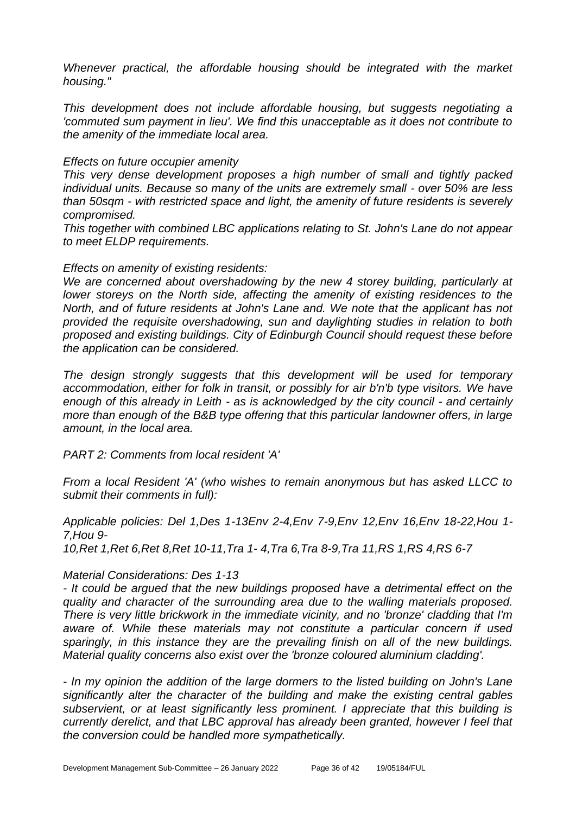*Whenever practical, the affordable housing should be integrated with the market housing."*

*This development does not include affordable housing, but suggests negotiating a 'commuted sum payment in lieu'. We find this unacceptable as it does not contribute to the amenity of the immediate local area.*

#### *Effects on future occupier amenity*

*This very dense development proposes a high number of small and tightly packed individual units. Because so many of the units are extremely small - over 50% are less than 50sqm - with restricted space and light, the amenity of future residents is severely compromised.*

*This together with combined LBC applications relating to St. John's Lane do not appear to meet ELDP requirements.*

#### *Effects on amenity of existing residents:*

*We are concerned about overshadowing by the new 4 storey building, particularly at lower storeys on the North side, affecting the amenity of existing residences to the North, and of future residents at John's Lane and. We note that the applicant has not provided the requisite overshadowing, sun and daylighting studies in relation to both proposed and existing buildings. City of Edinburgh Council should request these before the application can be considered.*

*The design strongly suggests that this development will be used for temporary accommodation, either for folk in transit, or possibly for air b'n'b type visitors. We have enough of this already in Leith - as is acknowledged by the city council - and certainly more than enough of the B&B type offering that this particular landowner offers, in large amount, in the local area.*

*PART 2: Comments from local resident 'A'*

*From a local Resident 'A' (who wishes to remain anonymous but has asked LLCC to submit their comments in full):*

*Applicable policies: Del 1,Des 1-13Env 2-4,Env 7-9,Env 12,Env 16,Env 18-22,Hou 1- 7,Hou 9-*

*10,Ret 1,Ret 6,Ret 8,Ret 10-11,Tra 1- 4,Tra 6,Tra 8-9,Tra 11,RS 1,RS 4,RS 6-7*

#### *Material Considerations: Des 1-13*

*- It could be argued that the new buildings proposed have a detrimental effect on the quality and character of the surrounding area due to the walling materials proposed. There is very little brickwork in the immediate vicinity, and no 'bronze' cladding that I'm aware of. While these materials may not constitute a particular concern if used sparingly, in this instance they are the prevailing finish on all of the new buildings. Material quality concerns also exist over the 'bronze coloured aluminium cladding'.*

*- In my opinion the addition of the large dormers to the listed building on John's Lane significantly alter the character of the building and make the existing central gables subservient, or at least significantly less prominent. I appreciate that this building is currently derelict, and that LBC approval has already been granted, however I feel that the conversion could be handled more sympathetically.*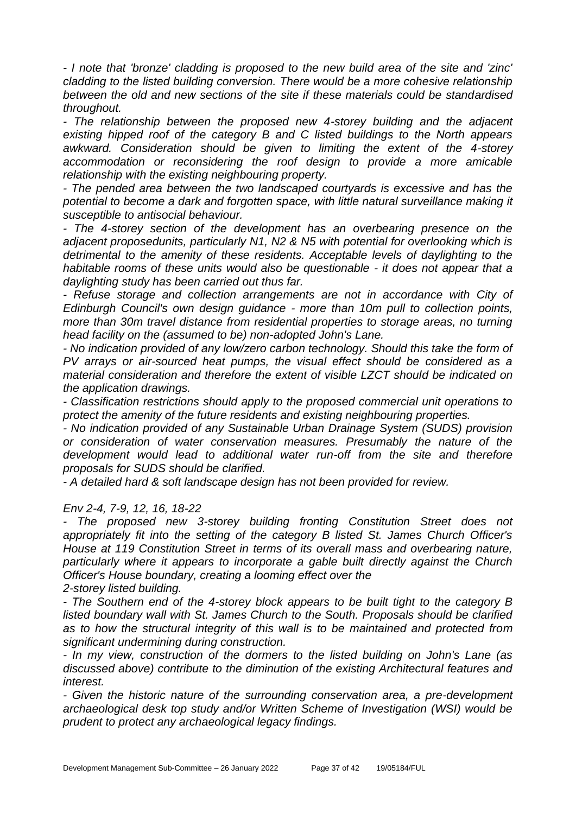*- I note that 'bronze' cladding is proposed to the new build area of the site and 'zinc' cladding to the listed building conversion. There would be a more cohesive relationship between the old and new sections of the site if these materials could be standardised throughout.*

*- The relationship between the proposed new 4-storey building and the adjacent existing hipped roof of the category B and C listed buildings to the North appears awkward. Consideration should be given to limiting the extent of the 4-storey accommodation or reconsidering the roof design to provide a more amicable relationship with the existing neighbouring property.*

*- The pended area between the two landscaped courtyards is excessive and has the*  potential to become a dark and forgotten space, with little natural surveillance making it *susceptible to antisocial behaviour.*

*- The 4-storey section of the development has an overbearing presence on the adjacent proposedunits, particularly N1, N2 & N5 with potential for overlooking which is detrimental to the amenity of these residents. Acceptable levels of daylighting to the habitable rooms of these units would also be questionable - it does not appear that a daylighting study has been carried out thus far.*

*- Refuse storage and collection arrangements are not in accordance with City of Edinburgh Council's own design guidance - more than 10m pull to collection points, more than 30m travel distance from residential properties to storage areas, no turning head facility on the (assumed to be) non-adopted John's Lane.*

*- No indication provided of any low/zero carbon technology. Should this take the form of PV arrays or air-sourced heat pumps, the visual effect should be considered as a material consideration and therefore the extent of visible LZCT should be indicated on the application drawings.*

*- Classification restrictions should apply to the proposed commercial unit operations to protect the amenity of the future residents and existing neighbouring properties.*

*- No indication provided of any Sustainable Urban Drainage System (SUDS) provision or consideration of water conservation measures. Presumably the nature of the development would lead to additional water run-off from the site and therefore proposals for SUDS should be clarified.*

*- A detailed hard & soft landscape design has not been provided for review.* 

*Env 2-4, 7-9, 12, 16, 18-22*

*- The proposed new 3-storey building fronting Constitution Street does not appropriately fit into the setting of the category B listed St. James Church Officer's House at 119 Constitution Street in terms of its overall mass and overbearing nature, particularly where it appears to incorporate a gable built directly against the Church Officer's House boundary, creating a looming effect over the 2-storey listed building.*

*- The Southern end of the 4-storey block appears to be built tight to the category B listed boundary wall with St. James Church to the South. Proposals should be clarified as to how the structural integrity of this wall is to be maintained and protected from significant undermining during construction.*

*- In my view, construction of the dormers to the listed building on John's Lane (as discussed above) contribute to the diminution of the existing Architectural features and interest.*

*- Given the historic nature of the surrounding conservation area, a pre-development archaeological desk top study and/or Written Scheme of Investigation (WSI) would be prudent to protect any archaeological legacy findings.*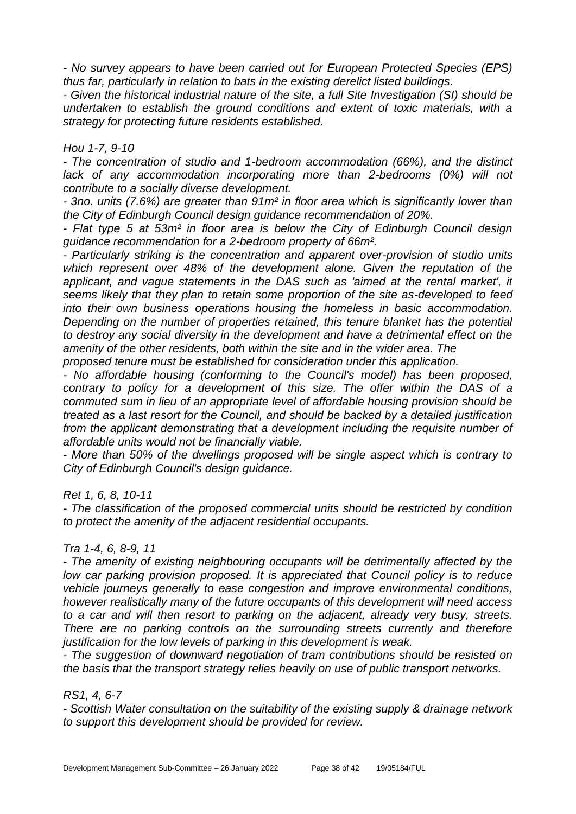*- No survey appears to have been carried out for European Protected Species (EPS) thus far, particularly in relation to bats in the existing derelict listed buildings.*

*- Given the historical industrial nature of the site, a full Site Investigation (SI) should be undertaken to establish the ground conditions and extent of toxic materials, with a strategy for protecting future residents established.*

#### *Hou 1-7, 9-10*

*- The concentration of studio and 1-bedroom accommodation (66%), and the distinct lack of any accommodation incorporating more than 2-bedrooms (0%) will not contribute to a socially diverse development.*

*- 3no. units (7.6%) are greater than 91m² in floor area which is significantly lower than the City of Edinburgh Council design guidance recommendation of 20%.*

*- Flat type 5 at 53m² in floor area is below the City of Edinburgh Council design guidance recommendation for a 2-bedroom property of 66m².*

*- Particularly striking is the concentration and apparent over-provision of studio units which represent over 48% of the development alone. Given the reputation of the applicant, and vague statements in the DAS such as 'aimed at the rental market', it seems likely that they plan to retain some proportion of the site as-developed to feed into their own business operations housing the homeless in basic accommodation. Depending on the number of properties retained, this tenure blanket has the potential to destroy any social diversity in the development and have a detrimental effect on the amenity of the other residents, both within the site and in the wider area. The*

*proposed tenure must be established for consideration under this application.*

*- No affordable housing (conforming to the Council's model) has been proposed, contrary to policy for a development of this size. The offer within the DAS of a commuted sum in lieu of an appropriate level of affordable housing provision should be treated as a last resort for the Council, and should be backed by a detailed justification from the applicant demonstrating that a development including the requisite number of affordable units would not be financially viable.*

*- More than 50% of the dwellings proposed will be single aspect which is contrary to City of Edinburgh Council's design guidance.*

*Ret 1, 6, 8, 10-11*

*- The classification of the proposed commercial units should be restricted by condition to protect the amenity of the adjacent residential occupants.*

#### *Tra 1-4, 6, 8-9, 11*

*- The amenity of existing neighbouring occupants will be detrimentally affected by the low car parking provision proposed. It is appreciated that Council policy is to reduce vehicle journeys generally to ease congestion and improve environmental conditions, however realistically many of the future occupants of this development will need access to a car and will then resort to parking on the adjacent, already very busy, streets. There are no parking controls on the surrounding streets currently and therefore justification for the low levels of parking in this development is weak.*

*- The suggestion of downward negotiation of tram contributions should be resisted on the basis that the transport strategy relies heavily on use of public transport networks.*

#### *RS1, 4, 6-7*

*- Scottish Water consultation on the suitability of the existing supply & drainage network to support this development should be provided for review.*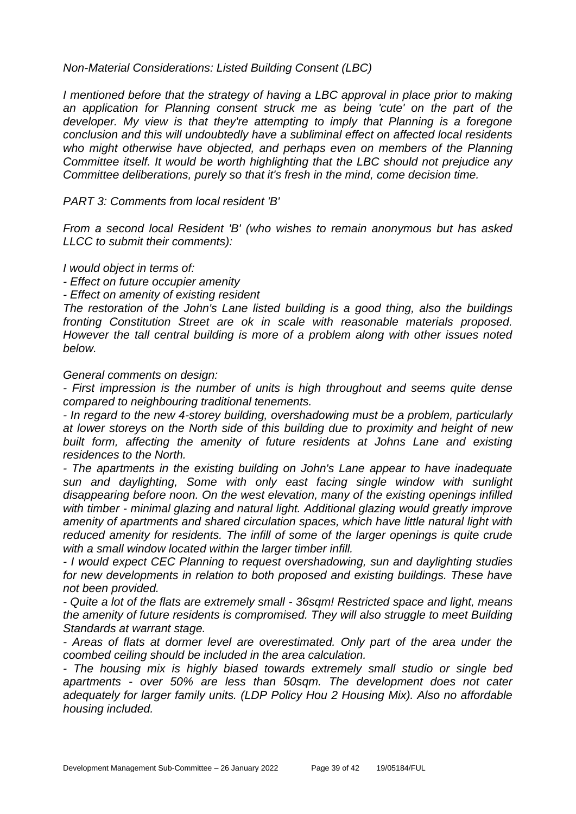*Non-Material Considerations: Listed Building Consent (LBC)*

*I mentioned before that the strategy of having a LBC approval in place prior to making an application for Planning consent struck me as being 'cute' on the part of the developer. My view is that they're attempting to imply that Planning is a foregone conclusion and this will undoubtedly have a subliminal effect on affected local residents who might otherwise have objected, and perhaps even on members of the Planning Committee itself. It would be worth highlighting that the LBC should not prejudice any Committee deliberations, purely so that it's fresh in the mind, come decision time.*

*PART 3: Comments from local resident 'B'*

*From a second local Resident 'B' (who wishes to remain anonymous but has asked LLCC to submit their comments):*

*I would object in terms of:*

*- Effect on future occupier amenity*

*- Effect on amenity of existing resident*

*The restoration of the John's Lane listed building is a good thing, also the buildings fronting Constitution Street are ok in scale with reasonable materials proposed. However the tall central building is more of a problem along with other issues noted below.*

*General comments on design:*

*- First impression is the number of units is high throughout and seems quite dense compared to neighbouring traditional tenements.*

*- In regard to the new 4-storey building, overshadowing must be a problem, particularly at lower storeys on the North side of this building due to proximity and height of new built form, affecting the amenity of future residents at Johns Lane and existing residences to the North.*

*- The apartments in the existing building on John's Lane appear to have inadequate sun and daylighting, Some with only east facing single window with sunlight disappearing before noon. On the west elevation, many of the existing openings infilled with timber - minimal glazing and natural light. Additional glazing would greatly improve amenity of apartments and shared circulation spaces, which have little natural light with reduced amenity for residents. The infill of some of the larger openings is quite crude with a small window located within the larger timber infill.*

*- I would expect CEC Planning to request overshadowing, sun and daylighting studies*  for new developments in relation to both proposed and existing buildings. These have *not been provided.*

*- Quite a lot of the flats are extremely small - 36sqm! Restricted space and light, means the amenity of future residents is compromised. They will also struggle to meet Building Standards at warrant stage.*

*- Areas of flats at dormer level are overestimated. Only part of the area under the coombed ceiling should be included in the area calculation.*

*- The housing mix is highly biased towards extremely small studio or single bed apartments - over 50% are less than 50sqm. The development does not cater adequately for larger family units. (LDP Policy Hou 2 Housing Mix). Also no affordable housing included.*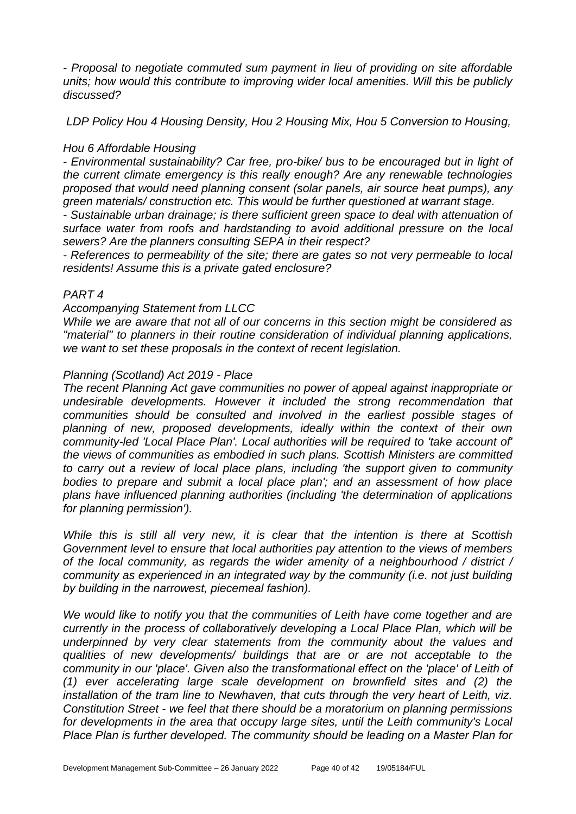*- Proposal to negotiate commuted sum payment in lieu of providing on site affordable units; how would this contribute to improving wider local amenities. Will this be publicly discussed?*

*LDP Policy Hou 4 Housing Density, Hou 2 Housing Mix, Hou 5 Conversion to Housing,*

#### *Hou 6 Affordable Housing*

*- Environmental sustainability? Car free, pro-bike/ bus to be encouraged but in light of the current climate emergency is this really enough? Are any renewable technologies proposed that would need planning consent (solar panels, air source heat pumps), any green materials/ construction etc. This would be further questioned at warrant stage.*

*- Sustainable urban drainage; is there sufficient green space to deal with attenuation of surface water from roofs and hardstanding to avoid additional pressure on the local sewers? Are the planners consulting SEPA in their respect?*

*- References to permeability of the site; there are gates so not very permeable to local residents! Assume this is a private gated enclosure?*

#### *PART 4*

#### *Accompanying Statement from LLCC*

*While we are aware that not all of our concerns in this section might be considered as "material" to planners in their routine consideration of individual planning applications, we want to set these proposals in the context of recent legislation.*

#### *Planning (Scotland) Act 2019 - Place*

*The recent Planning Act gave communities no power of appeal against inappropriate or undesirable developments. However it included the strong recommendation that communities should be consulted and involved in the earliest possible stages of planning of new, proposed developments, ideally within the context of their own community-led 'Local Place Plan'. Local authorities will be required to 'take account of' the views of communities as embodied in such plans. Scottish Ministers are committed to carry out a review of local place plans, including 'the support given to community bodies to prepare and submit a local place plan'; and an assessment of how place plans have influenced planning authorities (including 'the determination of applications for planning permission').*

*While this is still all very new, it is clear that the intention is there at Scottish Government level to ensure that local authorities pay attention to the views of members of the local community, as regards the wider amenity of a neighbourhood / district / community as experienced in an integrated way by the community (i.e. not just building by building in the narrowest, piecemeal fashion).*

*We would like to notify you that the communities of Leith have come together and are currently in the process of collaboratively developing a Local Place Plan, which will be underpinned by very clear statements from the community about the values and qualities of new developments/ buildings that are or are not acceptable to the community in our 'place'. Given also the transformational effect on the 'place' of Leith of (1) ever accelerating large scale development on brownfield sites and (2) the installation of the tram line to Newhaven, that cuts through the very heart of Leith, viz. Constitution Street - we feel that there should be a moratorium on planning permissions for developments in the area that occupy large sites, until the Leith community's Local Place Plan is further developed. The community should be leading on a Master Plan for*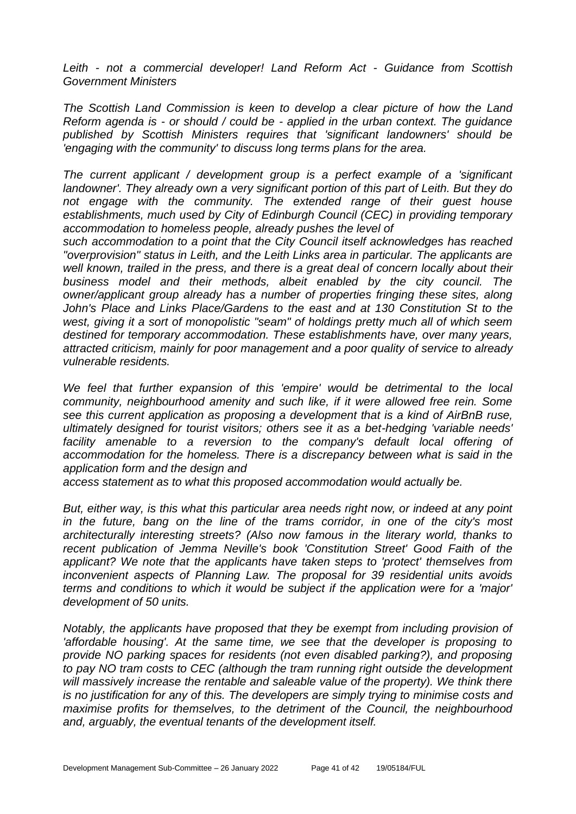*Leith - not a commercial developer! Land Reform Act - Guidance from Scottish Government Ministers*

*The Scottish Land Commission is keen to develop a clear picture of how the Land Reform agenda is - or should / could be - applied in the urban context. The guidance published by Scottish Ministers requires that 'significant landowners' should be 'engaging with the community' to discuss long terms plans for the area.*

*The current applicant / development group is a perfect example of a 'significant landowner'. They already own a very significant portion of this part of Leith. But they do not engage with the community. The extended range of their guest house establishments, much used by City of Edinburgh Council (CEC) in providing temporary accommodation to homeless people, already pushes the level of*

*such accommodation to a point that the City Council itself acknowledges has reached "overprovision" status in Leith, and the Leith Links area in particular. The applicants are well known, trailed in the press, and there is a great deal of concern locally about their business model and their methods, albeit enabled by the city council. The owner/applicant group already has a number of properties fringing these sites, along*  John's Place and Links Place/Gardens to the east and at 130 Constitution St to the *west, giving it a sort of monopolistic "seam" of holdings pretty much all of which seem destined for temporary accommodation. These establishments have, over many years, attracted criticism, mainly for poor management and a poor quality of service to already vulnerable residents.*

*We feel that further expansion of this 'empire' would be detrimental to the local community, neighbourhood amenity and such like, if it were allowed free rein. Some see this current application as proposing a development that is a kind of AirBnB ruse, ultimately designed for tourist visitors; others see it as a bet-hedging 'variable needs'*  facility amenable to a reversion to the company's default local offering of *accommodation for the homeless. There is a discrepancy between what is said in the application form and the design and*

*access statement as to what this proposed accommodation would actually be.*

*But, either way, is this what this particular area needs right now, or indeed at any point in the future, bang on the line of the trams corridor, in one of the city's most architecturally interesting streets? (Also now famous in the literary world, thanks to recent publication of Jemma Neville's book 'Constitution Street' Good Faith of the applicant? We note that the applicants have taken steps to 'protect' themselves from inconvenient aspects of Planning Law. The proposal for 39 residential units avoids terms and conditions to which it would be subject if the application were for a 'major' development of 50 units.*

*Notably, the applicants have proposed that they be exempt from including provision of 'affordable housing'. At the same time, we see that the developer is proposing to provide NO parking spaces for residents (not even disabled parking?), and proposing to pay NO tram costs to CEC (although the tram running right outside the development*  will massively increase the rentable and saleable value of the property). We think there *is no justification for any of this. The developers are simply trying to minimise costs and maximise profits for themselves, to the detriment of the Council, the neighbourhood and, arguably, the eventual tenants of the development itself.*